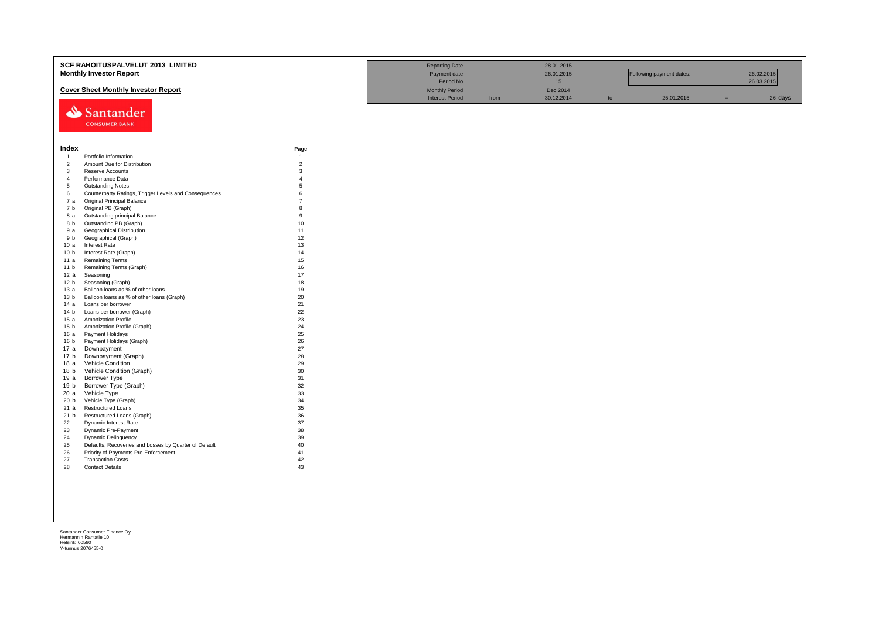|                                           | SCF RAHOITUSPALVELUT 2013 LIMITED                           |                   | <b>Reporting Date</b>  |      | 28.01.2015      |    |                          |     |            |
|-------------------------------------------|-------------------------------------------------------------|-------------------|------------------------|------|-----------------|----|--------------------------|-----|------------|
|                                           | <b>Monthly Investor Report</b>                              |                   | Payment date           |      | 26.01.2015      |    | Following payment dates: |     | 26.02.2015 |
|                                           |                                                             |                   | Period No              |      | 15 <sub>1</sub> |    |                          |     | 26.03.2015 |
|                                           | <b>Cover Sheet Monthly Investor Report</b>                  |                   | <b>Monthly Period</b>  |      | Dec 2014        |    |                          |     |            |
|                                           |                                                             |                   | <b>Interest Period</b> | from | 30.12.2014      | to | 25.01.2015               | $=$ | 26 days    |
|                                           |                                                             |                   |                        |      |                 |    |                          |     |            |
|                                           | Santander                                                   |                   |                        |      |                 |    |                          |     |            |
|                                           | <b>CONSUMER BANK</b>                                        |                   |                        |      |                 |    |                          |     |            |
|                                           |                                                             |                   |                        |      |                 |    |                          |     |            |
|                                           |                                                             |                   |                        |      |                 |    |                          |     |            |
| Index                                     |                                                             | Page              |                        |      |                 |    |                          |     |            |
| $\overline{1}$                            | Portfolio Information                                       | $\overline{1}$    |                        |      |                 |    |                          |     |            |
| $\overline{2}$                            | Amount Due for Distribution                                 | $\overline{2}$    |                        |      |                 |    |                          |     |            |
| $\overline{\mathbf{3}}$<br>$\overline{4}$ | Reserve Accounts<br>Performance Data                        | 3<br>$\mathbf{A}$ |                        |      |                 |    |                          |     |            |
| $5\overline{5}$                           | <b>Outstanding Notes</b>                                    | 5                 |                        |      |                 |    |                          |     |            |
| 6                                         | Counterparty Ratings, Trigger Levels and Consequences       | 6                 |                        |      |                 |    |                          |     |            |
| 7 a                                       | <b>Original Principal Balance</b>                           | $\overline{7}$    |                        |      |                 |    |                          |     |            |
| 7 b                                       | Original PB (Graph)                                         | $\mathbf{R}$      |                        |      |                 |    |                          |     |            |
| 8 a                                       | Outstanding principal Balance                               | 9                 |                        |      |                 |    |                          |     |            |
| 8 b                                       | Outstanding PB (Graph)                                      | 10                |                        |      |                 |    |                          |     |            |
| 9 a                                       | <b>Geographical Distribution</b>                            | 11                |                        |      |                 |    |                          |     |            |
| 9 b                                       | Geographical (Graph)                                        | 12                |                        |      |                 |    |                          |     |            |
| 10a                                       | <b>Interest Rate</b>                                        | 13                |                        |      |                 |    |                          |     |            |
| 10 <sub>b</sub>                           | Interest Rate (Graph)                                       | 14                |                        |      |                 |    |                          |     |            |
| 11 a                                      | <b>Remaining Terms</b>                                      | 15                |                        |      |                 |    |                          |     |            |
| 11 <sub>b</sub>                           | Remaining Terms (Graph)                                     | 16                |                        |      |                 |    |                          |     |            |
| 12 a                                      | Seasoning                                                   | 17                |                        |      |                 |    |                          |     |            |
| 12 <sub>b</sub>                           | Seasoning (Graph)                                           | 18                |                        |      |                 |    |                          |     |            |
| 13 а                                      | Balloon loans as % of other loans                           | 19                |                        |      |                 |    |                          |     |            |
| 13 <sub>b</sub>                           | Balloon loans as % of other loans (Graph)                   | 20                |                        |      |                 |    |                          |     |            |
| 14a                                       | Loans per borrower                                          | 21                |                        |      |                 |    |                          |     |            |
| 14 <sub>b</sub>                           | Loans per borrower (Graph)                                  | 22                |                        |      |                 |    |                          |     |            |
| 15 a<br>15 <sub>b</sub>                   | <b>Amortization Profile</b><br>Amortization Profile (Graph) | 23<br>24          |                        |      |                 |    |                          |     |            |
| 16 a                                      | Payment Holidays                                            | 25                |                        |      |                 |    |                          |     |            |
| 16 <sub>b</sub>                           | Payment Holidays (Graph)                                    | 26                |                        |      |                 |    |                          |     |            |
| 17 a                                      | Downpayment                                                 | 27                |                        |      |                 |    |                          |     |            |
| 17 b                                      | Downpayment (Graph)                                         | 28                |                        |      |                 |    |                          |     |            |
| 18 a                                      | Vehicle Condition                                           | 29                |                        |      |                 |    |                          |     |            |
| 18 <sub>b</sub>                           | Vehicle Condition (Graph)                                   | 30                |                        |      |                 |    |                          |     |            |
| 19 a                                      | <b>Borrower Type</b>                                        | 31                |                        |      |                 |    |                          |     |            |
| 19 b                                      | Borrower Type (Graph)                                       | 32                |                        |      |                 |    |                          |     |            |
| 20 a                                      | Vehicle Type                                                | 33                |                        |      |                 |    |                          |     |            |
| 20 b                                      | Vehicle Type (Graph)                                        | 34                |                        |      |                 |    |                          |     |            |
| 21a                                       | <b>Restructured Loans</b>                                   | 35                |                        |      |                 |    |                          |     |            |
| 21 b                                      | Restructured Loans (Graph)                                  | 36                |                        |      |                 |    |                          |     |            |
| 22                                        | Dynamic Interest Rate                                       | 37                |                        |      |                 |    |                          |     |            |
| 23                                        | Dynamic Pre-Payment                                         | 38                |                        |      |                 |    |                          |     |            |
| 24                                        | Dynamic Delinquency                                         | 39                |                        |      |                 |    |                          |     |            |
| 25                                        | Defaults, Recoveries and Losses by Quarter of Default       | 40                |                        |      |                 |    |                          |     |            |
| 26                                        | Priority of Payments Pre-Enforcement                        | 41                |                        |      |                 |    |                          |     |            |
| 27                                        | <b>Transaction Costs</b>                                    | 42                |                        |      |                 |    |                          |     |            |
| 28                                        | <b>Contact Details</b>                                      | 43                |                        |      |                 |    |                          |     |            |
|                                           |                                                             |                   |                        |      |                 |    |                          |     |            |
|                                           |                                                             |                   |                        |      |                 |    |                          |     |            |
|                                           |                                                             |                   |                        |      |                 |    |                          |     |            |
|                                           |                                                             |                   |                        |      |                 |    |                          |     |            |
|                                           |                                                             |                   |                        |      |                 |    |                          |     |            |
|                                           |                                                             |                   |                        |      |                 |    |                          |     |            |
|                                           |                                                             |                   |                        |      |                 |    |                          |     |            |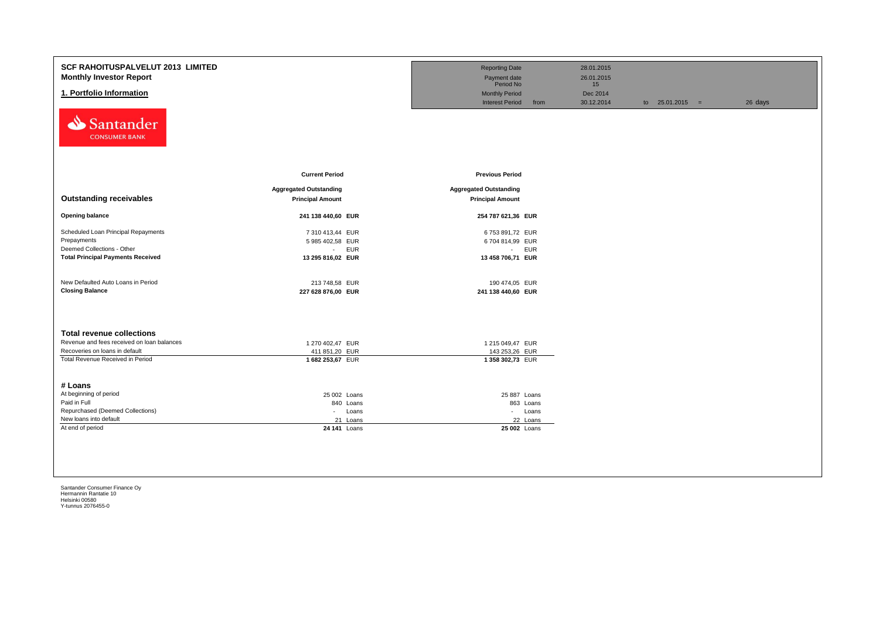| <b>SCF RAHOITUSPALVELUT 2013 LIMITED</b><br><b>Monthly Investor Report</b><br>1. Portfolio Information<br>Santander                                    |                                                                                          | <b>Reporting Date</b><br>Payment date<br>Period No<br><b>Monthly Period</b><br><b>Interest Period</b> | 28.01.2015<br>26.01.2015<br>15<br>Dec 2014<br>from<br>30.12.2014 | to $25.01.2015 =$ | 26 days |
|--------------------------------------------------------------------------------------------------------------------------------------------------------|------------------------------------------------------------------------------------------|-------------------------------------------------------------------------------------------------------|------------------------------------------------------------------|-------------------|---------|
| <b>CONSUMER BANK</b><br><b>Outstanding receivables</b>                                                                                                 | <b>Current Period</b><br><b>Aggregated Outstanding</b>                                   | <b>Previous Period</b><br><b>Aggregated Outstanding</b>                                               |                                                                  |                   |         |
|                                                                                                                                                        | <b>Principal Amount</b>                                                                  | <b>Principal Amount</b>                                                                               |                                                                  |                   |         |
| <b>Opening balance</b><br>Scheduled Loan Principal Repayments<br>Prepayments<br>Deemed Collections - Other<br><b>Total Principal Payments Received</b> | 241 138 440,60 EUR<br>7 310 413,44 EUR<br>5 985 402,58 EUR<br>- EUR<br>13 295 816,02 EUR | 254 787 621,36 EUR<br>6753 891,72 EUR<br>6704 814,99 EUR<br>- EUR<br>13 458 706,71 EUR                |                                                                  |                   |         |
| New Defaulted Auto Loans in Period<br><b>Closing Balance</b>                                                                                           | 213 748,58 EUR<br>227 628 876,00 EUR                                                     | 190 474,05 EUR<br>241 138 440,60 EUR                                                                  |                                                                  |                   |         |
| <b>Total revenue collections</b>                                                                                                                       |                                                                                          |                                                                                                       |                                                                  |                   |         |
| Revenue and fees received on loan balances<br>Recoveries on loans in default<br>Total Revenue Received in Period                                       | 1 270 402.47 EUR<br>411 851,20 EUR<br>1682 253,67 EUR                                    | 1 215 049,47 EUR<br>143 253,26 EUR<br>1358 302,73 EUR                                                 |                                                                  |                   |         |
| # Loans<br>At beginning of period                                                                                                                      | 25 002 Loans                                                                             | 25 887 Loans                                                                                          |                                                                  |                   |         |
| Paid in Full<br>Repurchased (Deemed Collections)                                                                                                       | 840 Loans<br>Loans<br>$\sim$                                                             | 863 Loans<br>- Loans                                                                                  |                                                                  |                   |         |
| New loans into default<br>At end of period                                                                                                             | 21 Loans<br>24 141 Loans                                                                 | 22 Loans<br>25 002 Loans                                                                              |                                                                  |                   |         |
|                                                                                                                                                        |                                                                                          |                                                                                                       |                                                                  |                   |         |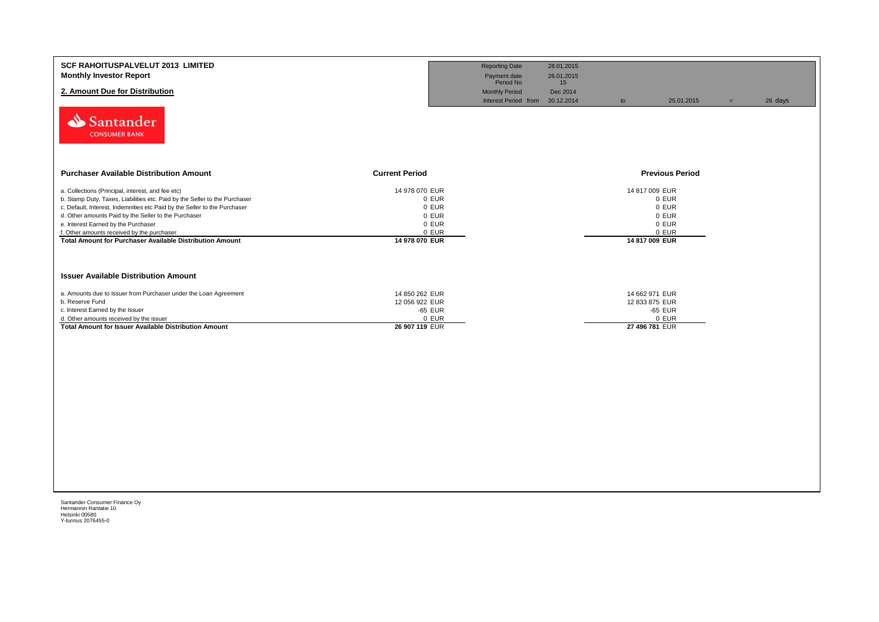| <b>SCF RAHOITUSPALVELUT 2013 LIMITED</b><br><b>Monthly Investor Report</b><br>2. Amount Due for Distribution<br>Santander<br><b>CONSUMER BANK</b>                                                                                                                                                                                                                                                                            |                                                                               | <b>Reporting Date</b><br>Payment date<br>Period No<br><b>Monthly Period</b><br>Interest Period from 30.12.2014 | 28.01.2015<br>26.01.2015<br>15<br>Dec 2014 | to                                                 | 25.01.2015                                | $=$ | 26 days |
|------------------------------------------------------------------------------------------------------------------------------------------------------------------------------------------------------------------------------------------------------------------------------------------------------------------------------------------------------------------------------------------------------------------------------|-------------------------------------------------------------------------------|----------------------------------------------------------------------------------------------------------------|--------------------------------------------|----------------------------------------------------|-------------------------------------------|-----|---------|
| <b>Purchaser Available Distribution Amount</b>                                                                                                                                                                                                                                                                                                                                                                               | <b>Current Period</b>                                                         |                                                                                                                |                                            |                                                    | <b>Previous Period</b>                    |     |         |
| a. Collections (Principal, interest, and fee etc)<br>b. Stamp Duty, Taxes, Liabilities etc. Paid by the Seller to the Purchaser<br>c. Default, Interest, Indemnities etc Paid by the Seller to the Purchaser<br>d. Other amounts Paid by the Seller to the Purchaser<br>e. Interest Earned by the Purchaser<br>f. Other amounts received by the purchaser<br><b>Total Amount for Purchaser Available Distribution Amount</b> | 14 978 070 EUR<br>0 EUR<br>0 EUR<br>0 EUR<br>0 EUR<br>0 EUR<br>14 978 070 EUR |                                                                                                                |                                            | 14 817 009 EUR<br>14 817 009 EUR                   | 0 EUR<br>0 EUR<br>0 EUR<br>0 EUR<br>0 EUR |     |         |
| <b>Issuer Available Distribution Amount</b>                                                                                                                                                                                                                                                                                                                                                                                  |                                                                               |                                                                                                                |                                            |                                                    |                                           |     |         |
| a. Amounts due to Issuer from Purchaser under the Loan Agreement<br>b. Reserve Fund<br>c. Interest Earned by the Issuer<br>d. Other amounts received by the issuer<br><b>Total Amount for Issuer Available Distribution Amount</b>                                                                                                                                                                                           | 14 850 262 EUR<br>12 056 922 EUR<br>-65 EUR<br>0 EUR<br>26 907 119 EUR        |                                                                                                                |                                            | 14 662 971 EUR<br>12 833 875 EUR<br>27 496 781 EUR | -65 EUR<br>0 EUR                          |     |         |
|                                                                                                                                                                                                                                                                                                                                                                                                                              |                                                                               |                                                                                                                |                                            |                                                    |                                           |     |         |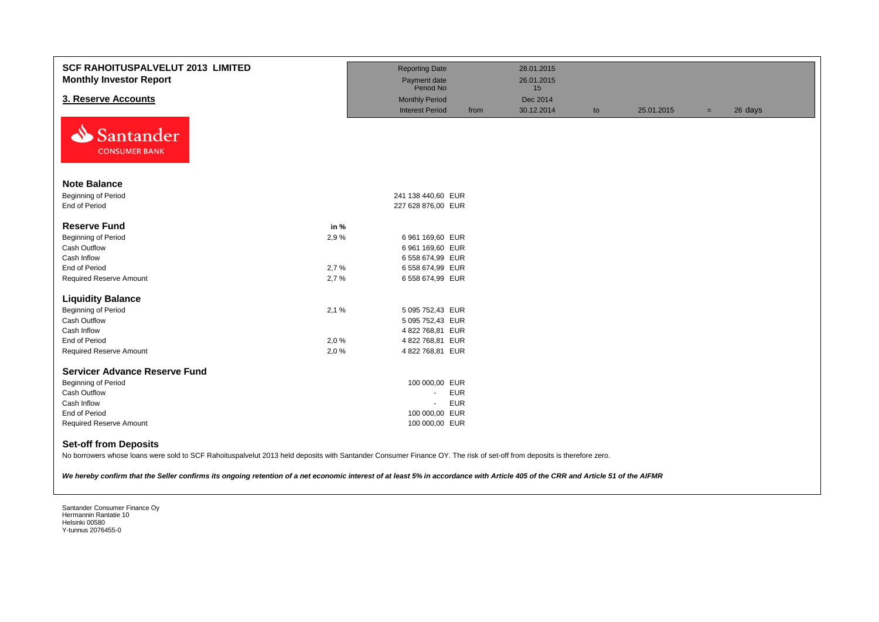| <b>SCF RAHOITUSPALVELUT 2013 LIMITED</b><br><b>Monthly Investor Report</b> |      | <b>Reporting Date</b><br>Payment date<br>Period No |      | 28.01.2015<br>26.01.2015 |    |            |     |         |
|----------------------------------------------------------------------------|------|----------------------------------------------------|------|--------------------------|----|------------|-----|---------|
| 3. Reserve Accounts                                                        |      | <b>Monthly Period</b>                              |      | 15<br>Dec 2014           |    |            |     |         |
|                                                                            |      | <b>Interest Period</b>                             | from | 30.12.2014               | to | 25.01.2015 | $=$ | 26 days |
| N<br>Santander<br><b>CONSUMER BANK</b>                                     |      |                                                    |      |                          |    |            |     |         |
| <b>Note Balance</b>                                                        |      |                                                    |      |                          |    |            |     |         |
| Beginning of Period                                                        |      | 241 138 440,60 EUR                                 |      |                          |    |            |     |         |
| End of Period                                                              |      | 227 628 876,00 EUR                                 |      |                          |    |            |     |         |
|                                                                            |      |                                                    |      |                          |    |            |     |         |
| <b>Reserve Fund</b>                                                        | in % |                                                    |      |                          |    |            |     |         |
| 2,9%<br><b>Beginning of Period</b>                                         |      | 6 961 169,60 EUR                                   |      |                          |    |            |     |         |
| Cash Outflow                                                               |      | 6 961 169,60 EUR                                   |      |                          |    |            |     |         |
| Cash Inflow                                                                |      | 6 558 674,99 EUR                                   |      |                          |    |            |     |         |
| End of Period<br>2,7%                                                      |      | 6 558 674,99 EUR                                   |      |                          |    |            |     |         |
| <b>Required Reserve Amount</b><br>2,7%                                     |      | 6 558 674,99 EUR                                   |      |                          |    |            |     |         |
| <b>Liquidity Balance</b>                                                   |      |                                                    |      |                          |    |            |     |         |
| <b>Beginning of Period</b><br>2,1%                                         |      | 5 095 752,43 EUR                                   |      |                          |    |            |     |         |
| <b>Cash Outflow</b>                                                        |      | 5 095 752,43 EUR                                   |      |                          |    |            |     |         |
| Cash Inflow                                                                |      | 4 822 768,81 EUR                                   |      |                          |    |            |     |         |
| End of Period<br>2,0%                                                      |      | 4 822 768,81 EUR                                   |      |                          |    |            |     |         |
| 2,0%<br>Required Reserve Amount                                            |      | 4 822 768,81 EUR                                   |      |                          |    |            |     |         |
| <b>Servicer Advance Reserve Fund</b>                                       |      |                                                    |      |                          |    |            |     |         |
|                                                                            |      |                                                    |      |                          |    |            |     |         |
| <b>Beginning of Period</b><br>Cash Outflow                                 |      | 100 000,00 EUR<br><b>EUR</b><br>$\sim$             |      |                          |    |            |     |         |
| Cash Inflow                                                                |      | <b>EUR</b><br>÷.                                   |      |                          |    |            |     |         |
| End of Period                                                              |      | 100 000,00 EUR                                     |      |                          |    |            |     |         |
| Required Reserve Amount                                                    |      | 100 000,00 EUR                                     |      |                          |    |            |     |         |
|                                                                            |      |                                                    |      |                          |    |            |     |         |
| <b>Set-off from Deposits</b><br>.                                          |      |                                                    |      |                          |    |            |     |         |

No borrowers whose loans were sold to SCF Rahoituspalvelut 2013 held deposits with Santander Consumer Finance OY. The risk of set-off from deposits is therefore zero.

*We hereby confirm that the Seller confirms its ongoing retention of a net economic interest of at least 5% in accordance with Article 405 of the CRR and Article 51 of the AIFMR*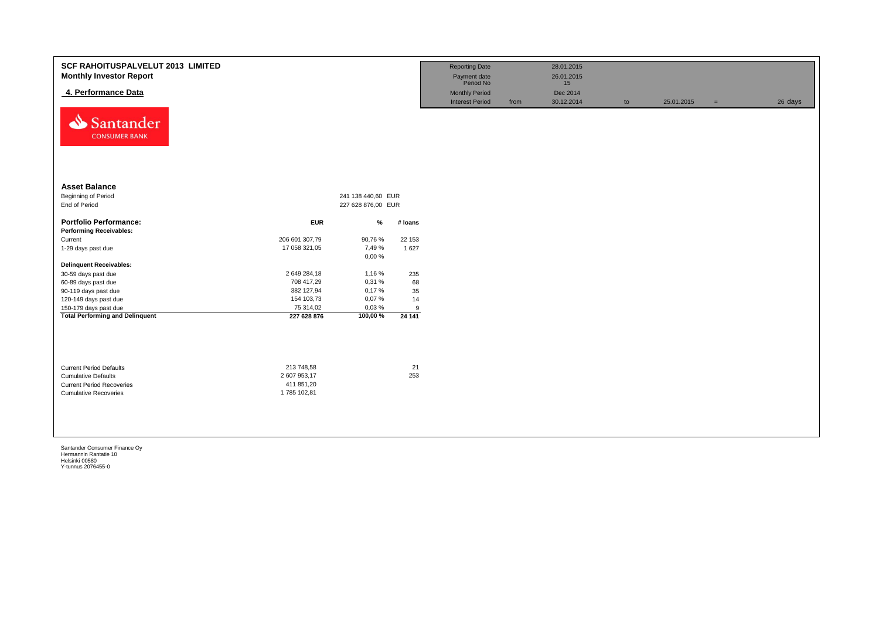| <b>SCF RAHOITUSPALVELUT 2013 LIMITED</b><br><b>Monthly Investor Report</b><br>4. Performance Data<br>N<br>Santander<br><b>CONSUMER BANK</b> |                                                         |                                          |           | <b>Reporting Date</b><br>Payment date<br>Period No<br><b>Monthly Period</b><br><b>Interest Period</b> | from | 28.01.2015<br>26.01.2015<br>15<br>Dec 2014<br>30.12.2014 | to | 25.01.2015 | $=$ | 26 days |
|---------------------------------------------------------------------------------------------------------------------------------------------|---------------------------------------------------------|------------------------------------------|-----------|-------------------------------------------------------------------------------------------------------|------|----------------------------------------------------------|----|------------|-----|---------|
| <b>Asset Balance</b><br><b>Beginning of Period</b><br>End of Period                                                                         |                                                         | 241 138 440,60 EUR<br>227 628 876,00 EUR |           |                                                                                                       |      |                                                          |    |            |     |         |
| <b>Portfolio Performance:</b>                                                                                                               | <b>EUR</b>                                              | $\%$                                     | # Ioans   |                                                                                                       |      |                                                          |    |            |     |         |
| <b>Performing Receivables:</b>                                                                                                              |                                                         |                                          |           |                                                                                                       |      |                                                          |    |            |     |         |
| Current                                                                                                                                     | 206 601 307,79                                          | 90,76 %                                  | 22 153    |                                                                                                       |      |                                                          |    |            |     |         |
| 1-29 days past due                                                                                                                          | 17 058 321,05                                           | 7,49 %<br>0,00%                          | 1 627     |                                                                                                       |      |                                                          |    |            |     |         |
| <b>Delinquent Receivables:</b>                                                                                                              |                                                         |                                          |           |                                                                                                       |      |                                                          |    |            |     |         |
| 30-59 days past due                                                                                                                         | 2 649 284,18                                            | 1,16 %                                   | 235       |                                                                                                       |      |                                                          |    |            |     |         |
| 60-89 days past due                                                                                                                         | 708 417,29                                              | 0,31 %                                   | 68        |                                                                                                       |      |                                                          |    |            |     |         |
| 90-119 days past due                                                                                                                        | 382 127,94                                              | 0,17%                                    | 35        |                                                                                                       |      |                                                          |    |            |     |         |
| 120-149 days past due                                                                                                                       | 154 103,73                                              | 0,07%                                    | 14        |                                                                                                       |      |                                                          |    |            |     |         |
| 150-179 days past due                                                                                                                       | 75 314,02                                               | 0,03%                                    | 9         |                                                                                                       |      |                                                          |    |            |     |         |
| <b>Total Performing and Delinquent</b>                                                                                                      | 227 628 876                                             | 100,00%                                  | 24 14 1   |                                                                                                       |      |                                                          |    |            |     |         |
| <b>Current Period Defaults</b><br><b>Cumulative Defaults</b><br><b>Current Period Recoveries</b><br><b>Cumulative Recoveries</b>            | 213 748,58<br>2 607 953,17<br>411 851,20<br>1785 102,81 |                                          | 21<br>253 |                                                                                                       |      |                                                          |    |            |     |         |
|                                                                                                                                             |                                                         |                                          |           |                                                                                                       |      |                                                          |    |            |     |         |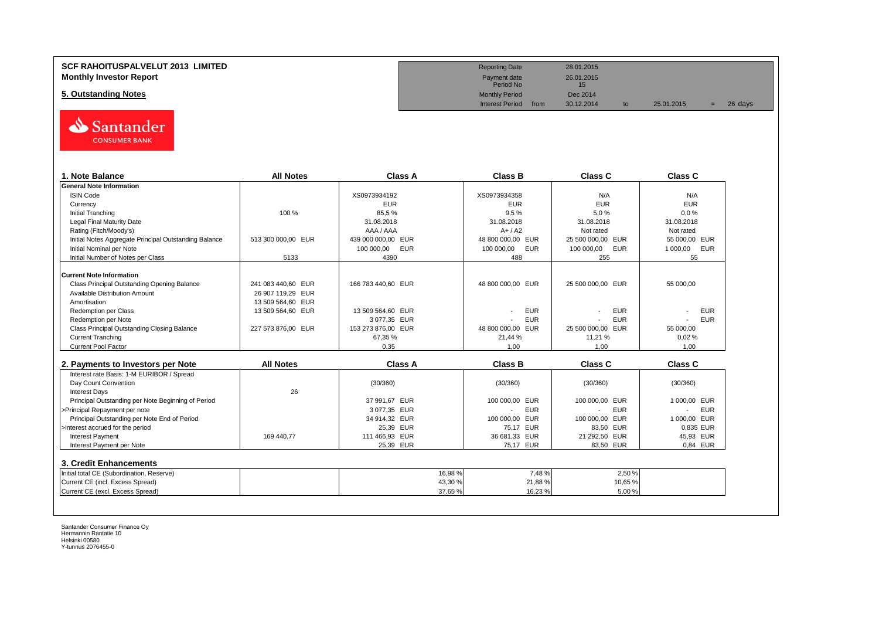## **SCF RAHOITUSPALVELUT 2013 LIMITED Reporting Date** 28.01.2015 **Monthly Investor Report** 2001, 2015<br>**Monthly Investor Report** 2001, 2015<br>Period No

**5. Outstanding Notes** Dec 2014<br> **5. Outstanding Notes** Dec 2014<br>
Interest Period from 30.12.2014



| 1. Note Balance                                       | <b>All Notes</b>   | Class A                  | <b>Class B</b>    | Class C                  | Class C                      |
|-------------------------------------------------------|--------------------|--------------------------|-------------------|--------------------------|------------------------------|
| <b>General Note Information</b>                       |                    |                          |                   |                          |                              |
| <b>ISIN Code</b>                                      |                    | XS0973934192             | XS0973934358      | N/A                      | N/A                          |
| Currency                                              |                    | <b>EUR</b>               | <b>EUR</b>        | <b>EUR</b>               | <b>EUR</b>                   |
| <b>Initial Tranching</b>                              | 100 %              | 85.5%                    | 9.5%              | 5.0%                     | 0.0%                         |
| <b>Legal Final Maturity Date</b>                      |                    | 31.08.2018               | 31.08.2018        | 31.08.2018               | 31.08.2018                   |
| Rating (Fitch/Moody's)                                |                    | AAA / AAA                | $A+/A2$           | Not rated                | Not rated                    |
| Initial Notes Aggregate Principal Outstanding Balance | 513 300 000.00 EUR | 439 000 000.00 EUR       | 48 800 000.00 EUR | 25 500 000.00 EUR        | 55 000.00 EUR                |
| Initial Nominal per Note                              |                    | <b>EUR</b><br>100 000.00 | 100 000,00<br>EUR | <b>EUR</b><br>100 000,00 | <b>EUR</b><br>1 000,00       |
| Initial Number of Notes per Class                     | 5133               | 4390                     | 488               | 255                      | 55                           |
| <b>Current Note Information</b>                       |                    |                          |                   |                          |                              |
| Class Principal Outstanding Opening Balance           | 241 083 440.60 EUR | 166 783 440.60 EUR       | 48 800 000,00 EUR | 25 500 000.00 EUR        | 55 000.00                    |
| Available Distribution Amount                         | 26 907 119.29 EUR  |                          |                   |                          |                              |
| Amortisation                                          | 13 509 564,60 EUR  |                          |                   |                          |                              |
| <b>Redemption per Class</b>                           | 13 509 564,60 EUR  | 13 509 564,60 EUR        | <b>EUR</b>        | <b>EUR</b>               | <b>EUR</b>                   |
| Redemption per Note                                   |                    | 3 077,35 EUR             | <b>EUR</b>        | <b>EUR</b>               | <b>EUR</b>                   |
| Class Principal Outstanding Closing Balance           | 227 573 876.00 EUR | 153 273 876.00 EUR       | 48 800 000.00 EUR | 25 500 000,00 EUR        | 55 000,00                    |
| <b>Current Tranching</b>                              |                    | 67.35%                   | 21.44 %           | 11,21 %                  | 0.02%                        |
| Current Pool Factor                                   |                    | 0.35                     | 1.00              | 1.00                     | 1.00                         |
| 2. Payments to Investors per Note                     | <b>All Notes</b>   | <b>Class A</b>           | <b>Class B</b>    | Class C                  | <b>Class C</b>               |
| Interest rate Basis: 1-M EURIBOR / Spread             |                    |                          |                   |                          |                              |
| Day Count Convention                                  |                    | (30/360)                 | (30/360)          | (30/360)                 | (30/360)                     |
| <b>Interest Days</b>                                  | 26                 |                          |                   |                          |                              |
| Principal Outstanding per Note Beginning of Period    |                    | 37 991.67 EUR            | 100 000,00 EUR    | 100 000,00 EUR           | 1 000.00 EUR                 |
| >Principal Repayment per note                         |                    | 3 077.35 EUR             | <b>EUR</b>        | <b>EUR</b>               | <b>EUR</b><br>$\overline{a}$ |
| Principal Outstanding per Note End of Period          |                    | 34 914,32 EUR            | 100 000,00 EUR    | 100 000,00 EUR           | 1 000.00 EUR                 |
| >Interest accrued for the period                      |                    | 25,39 EUR                | 75,17 EUR         | 83.50 EUR                | 0.835 EUR                    |
| <b>Interest Payment</b>                               | 169 440.77         | 111 466.93 EUR           | 36 681,33 EUR     | 21 292.50 EUR            | 45,93 EUR                    |
| Interest Payment per Note                             |                    | 25,39 EUR                | 75,17 EUR         | 83,50 EUR                | 0,84 EUR                     |
|                                                       |                    |                          |                   |                          |                              |
| 3. Credit Enhancements                                |                    |                          |                   |                          |                              |
| Initial total CE (Subordination, Reserve)             |                    | 16.98%                   | 7,48%             | 2.50 %                   |                              |
| Current CE (incl. Excess Spread)                      |                    | 43,30 %                  | 21,88%            | 10,65%                   |                              |
| Current CE (excl. Excess Spread)                      |                    | 37.65 %                  | 16,23 %           | 5.00%                    |                              |

Payment date<br>Period No

Interest Period from 30.12.2014 to 25.01.2015 = 26 days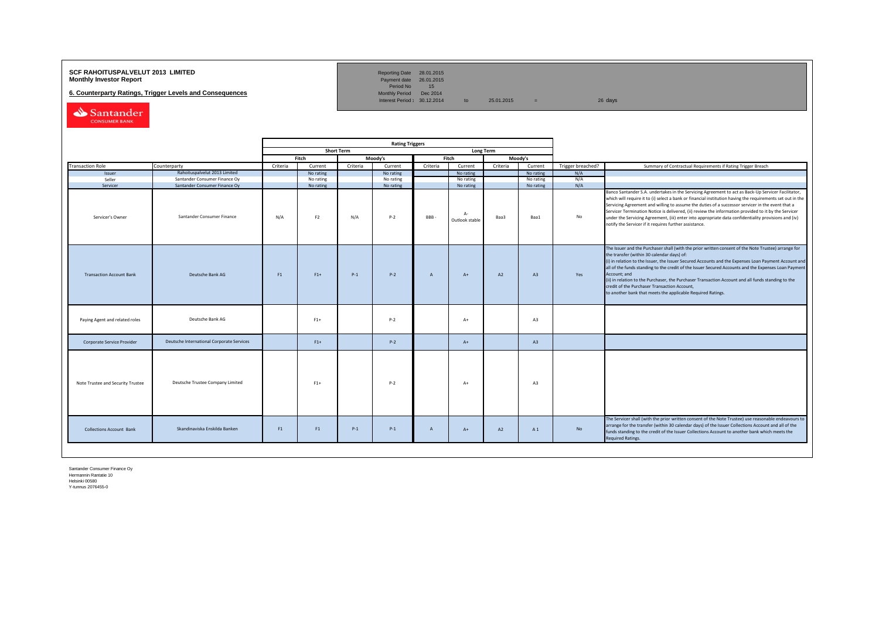### **SCF RAHOITUSPALVELUT 2013 LIMITED**<br>**Monthly Investor Report** Payment date 26.01.2015

**6. Counterparty Ratings, Trigger Levels and Consequences** 

Reporting Date 28.01.2015<br>Payment date 26.01.2015<br>Period No 15<br>Monthly Period Dec 2014

Interest Period:  $30.12.2014$  to  $25.01.2015$  = 26 days

Santander CONSUMER BANK

|                                   |                                           | <b>Rating Triggers</b> |                |                   |           |                |                      |           |           |                   |                                                                                                                                                                                                                                                                                                                                                                                                                                                                                                                                                                                                        |
|-----------------------------------|-------------------------------------------|------------------------|----------------|-------------------|-----------|----------------|----------------------|-----------|-----------|-------------------|--------------------------------------------------------------------------------------------------------------------------------------------------------------------------------------------------------------------------------------------------------------------------------------------------------------------------------------------------------------------------------------------------------------------------------------------------------------------------------------------------------------------------------------------------------------------------------------------------------|
|                                   |                                           |                        |                | <b>Short Term</b> |           |                |                      | Long Term |           |                   |                                                                                                                                                                                                                                                                                                                                                                                                                                                                                                                                                                                                        |
|                                   |                                           |                        | Fitch          |                   | Moody's   |                | Fitch                |           | Moody's   |                   |                                                                                                                                                                                                                                                                                                                                                                                                                                                                                                                                                                                                        |
| <b>Transaction Role</b>           | Counterparty                              | Criteria               | Current        | Criteria          | Current   | Criteria       | Current              | Criteria  | Current   | Trigger breached? | Summary of Contractual Requirements if Rating Trigger Breach                                                                                                                                                                                                                                                                                                                                                                                                                                                                                                                                           |
| Issuer                            | Rahoituspalvelut 2013 Limited             |                        | No rating      |                   | No rating |                | No rating            |           | No rating | N/A               |                                                                                                                                                                                                                                                                                                                                                                                                                                                                                                                                                                                                        |
| Seller                            | Santander Consumer Finance Oy             |                        | No rating      |                   | No rating |                | No rating            |           | No rating | N/A               |                                                                                                                                                                                                                                                                                                                                                                                                                                                                                                                                                                                                        |
| Servicer                          | Santander Consumer Finance Ov             |                        | No rating      |                   | No rating |                | No rating            |           | No rating | N/A               |                                                                                                                                                                                                                                                                                                                                                                                                                                                                                                                                                                                                        |
| Servicer's Owner                  | Santander Consumer Finance                | N/A                    | F <sub>2</sub> | N/A               | $P-2$     | BBB-           | Д.<br>Outlook stable | Baa3      | Baa1      | No                | Banco Santander S.A. undertakes in the Servicing Agreement to act as Back-Up Servicer Facilitator,<br>which will require it to (i) select a bank or financial institution having the requirements set out in the<br>Servicing Agreement and willing to assume the duties of a successor servicer in the event that a<br>Servicer Termination Notice is delivered, (ii) review the information provided to it by the Servicer<br>under the Servicing Agreement, (iii) enter into appropriate data confidentiality provisions and (iv)<br>notify the Servicer if it requires further assistance.         |
| <b>Transaction Account Bank</b>   | Deutsche Bank AG                          | F1                     | $F1+$          | $P-1$             | $P-2$     | $\overline{A}$ | $A+$                 | A2        | A3        | Yes               | The Issuer and the Purchaser shall (with the prior written consent of the Note Trustee) arrange for<br>the transfer (within 30 calendar days) of:<br>(i) in relation to the Issuer, the Issuer Secured Accounts and the Expenses Loan Payment Account and<br>all of the funds standing to the credit of the Issuer Secured Accounts and the Expenses Loan Payment<br>Account; and<br>(ii) in relation to the Purchaser, the Purchaser Transaction Account and all funds standing to the<br>credit of the Purchaser Transaction Account,<br>to another bank that meets the applicable Required Ratings. |
| Paying Agent and related roles    | Deutsche Bank AG                          |                        | $F1+$          |                   | $P-2$     |                | $A+$                 |           | A3        |                   |                                                                                                                                                                                                                                                                                                                                                                                                                                                                                                                                                                                                        |
| Corporate Service Provider        | Deutsche International Corporate Services |                        | $F1+$          |                   | $P-2$     |                | $A+$                 |           | A3        |                   |                                                                                                                                                                                                                                                                                                                                                                                                                                                                                                                                                                                                        |
| Note Trustee and Security Trustee | Deutsche Trustee Company Limited          |                        | $F1+$          |                   | $P-2$     |                | $A+$                 |           | A3        |                   |                                                                                                                                                                                                                                                                                                                                                                                                                                                                                                                                                                                                        |
| <b>Collections Account Bank</b>   | Skandinaviska Enskilda Banken             | F1                     | F1             | $P-1$             | $P-1$     | $\overline{A}$ | $A+$                 | A2        | A1        | No                | The Servicer shall (with the prior written consent of the Note Trustee) use reasonable endeavours to<br>arrange for the transfer (within 30 calendar days) of the Issuer Collections Account and all of the<br>funds standing to the credit of the Issuer Collections Account to another bank which meets the<br><b>Required Ratings.</b>                                                                                                                                                                                                                                                              |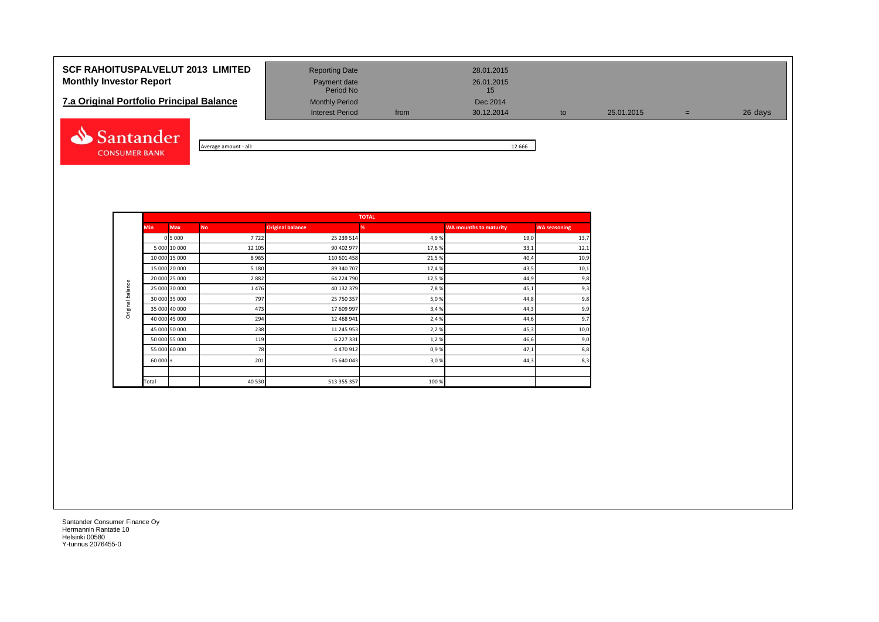# **SCF RAHOITUSPALVELUT 2013 LIMITED** Reporting Date 28.01.2015 **Monthly Investor Report Payment date** Payment date 26.01.2015

| <b>7.a Original Portfolio Principal Balance</b> | <b>Monthly Period</b> |      | Dec 2014   |
|-------------------------------------------------|-----------------------|------|------------|
|                                                 | Interest Period       | from | 30.12.2014 |



| - all:<br>amount י<br>werage | 666<br>-- |
|------------------------------|-----------|

Period No

Interest Period from 30.12.2014 to 25.01.2015 = 26 days

|                  |               |               |           |                         | <b>TOTAL</b> |                               |                     |
|------------------|---------------|---------------|-----------|-------------------------|--------------|-------------------------------|---------------------|
|                  | <b>Min</b>    | <b>Max</b>    | <b>No</b> | <b>Original balance</b> | %            | <b>WA mounths to maturity</b> | <b>WA seasoning</b> |
|                  |               | 0 5 0 0 0     | 7722      | 25 239 514              | 4,9%         | 19,0                          | 13,7                |
|                  |               | 5 000 10 000  | 12 105    | 90 402 977              | 17,6%        | 33,1                          | 12,1                |
|                  | 10 000 15 000 |               | 8965      | 110 601 458             | 21,5%        | 40,4                          | 10,9                |
|                  | 15 000 20 000 |               | 5 1 8 0   | 89 340 707              | 17,4%        | 43,5                          | 10,1                |
|                  | 20 000 25 000 |               | 2882      | 64 224 790              | 12,5%        | 44,9                          | 9,8                 |
| Original balance |               | 25 000 30 000 | 1476      | 40 132 379              | 7,8%         | 45,1                          | 9,3                 |
|                  | 30 000 35 000 |               | 797       | 25 750 357              | 5,0%         | 44,8                          | 9,8                 |
|                  | 35 000 40 000 |               | 473       | 17 609 997              | 3,4%         | 44,3                          | 9,9                 |
|                  | 40 000 45 000 |               | 294       | 12 468 941              | 2,4 %        | 44,6                          | 9,7                 |
|                  | 45 000 50 000 |               | 238       | 11 245 953              | 2,2%         | 45,3                          | 10,0                |
|                  | 50 000 55 000 |               | 119       | 6 227 331               | 1,2%         | 46,6                          | 9,0                 |
|                  | 55 000 60 000 |               | 78        | 4 470 912               | 0,9%         | 47,1                          | 8,8                 |
|                  | $60000 +$     |               | 201       | 15 640 043              | 3,0%         | 44,3                          | 8,3                 |
|                  |               |               |           |                         |              |                               |                     |
|                  | Total         |               | 40 530    | 513 355 357             | 100%         |                               |                     |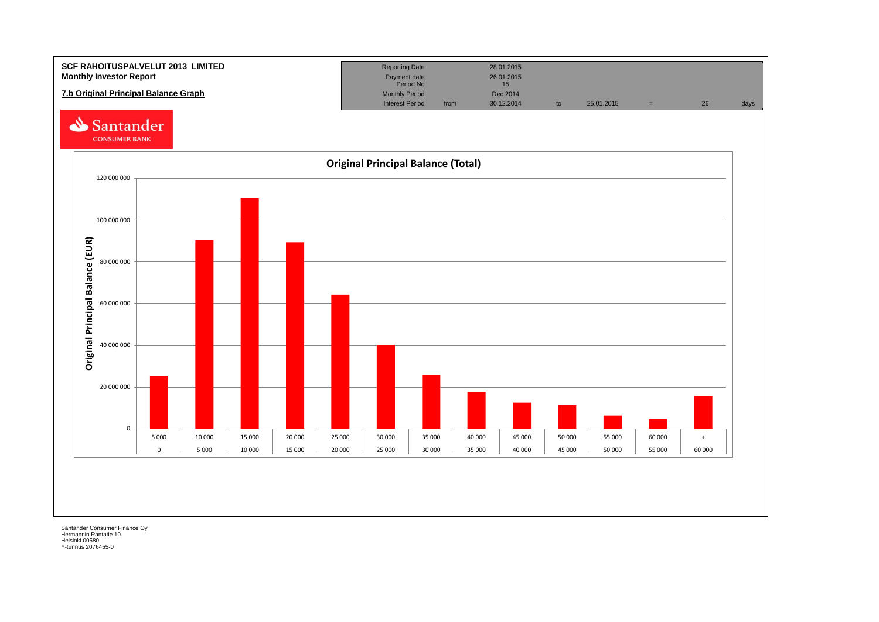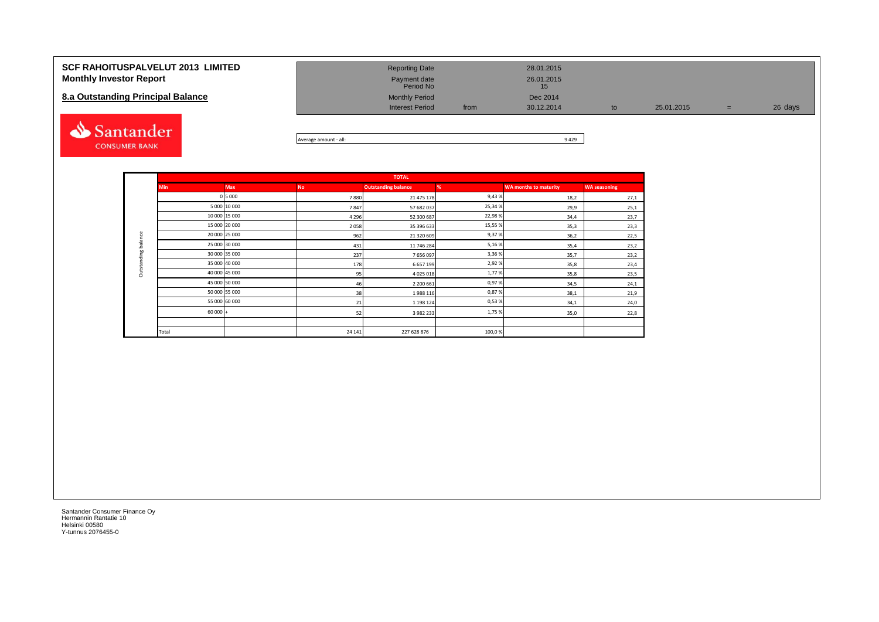| <b>SCF RAHOITUSPALVELUT 2013 LIMITED</b><br><b>Monthly Investor Report</b><br>8.a Outstanding Principal Balance | <b>Reporting Date</b><br>Payment date<br>Period No<br><b>Monthly Period</b><br><b>Interest Period</b> | 28.01.2015<br>26.01.2015<br>15<br>Dec 2014<br>30.12.2014<br>from | to | 25.01.2015 | $=$ | 26 days |
|-----------------------------------------------------------------------------------------------------------------|-------------------------------------------------------------------------------------------------------|------------------------------------------------------------------|----|------------|-----|---------|
| Santander                                                                                                       |                                                                                                       | 0.122                                                            |    |            |     |         |



|                     |            |               |           | <b>TOTAL</b>               |         |                              |                     |
|---------------------|------------|---------------|-----------|----------------------------|---------|------------------------------|---------------------|
|                     | <b>Min</b> | <b>Max</b>    | <b>No</b> | <b>Outstanding balance</b> | %       | <b>WA months to maturity</b> | <b>WA seasoning</b> |
|                     |            | 0 5 0 0 0     | 7880      | 21 475 178                 | 9,43%   | 18,2                         | 27,1                |
|                     |            | 5 000 10 000  | 7847      | 57 682 037                 | 25,34%  | 29,9                         | 25,1                |
|                     |            | 10 000 15 000 | 4 2 9 6   | 52 300 687                 | 22,98%  | 34,4                         | 23,7                |
|                     |            | 15 000 20 000 | 2058      | 35 396 633                 | 15,55 % | 35,3                         | 23,3                |
| Outstanding balance |            | 20 000 25 000 | 962       | 21 320 609                 | 9,37%   | 36,2                         | 22,5                |
|                     |            | 25 000 30 000 | 431       | 11 746 284                 | 5,16%   | 35,4                         | 23,2                |
|                     |            | 30 000 35 000 | 237       | 7656097                    | 3,36%   | 35,7                         | 23,2                |
|                     |            | 35 000 40 000 | 178       | 6 657 199                  | 2,92%   | 35,8                         | 23,4                |
|                     |            | 40 000 45 000 | 95        | 4 0 2 5 0 1 8              | 1,77%   | 35,8                         | 23,5                |
|                     |            | 45 000 50 000 | 46        | 2 200 661                  | 0,97%   | 34,5                         | 24,1                |
|                     |            | 50 000 55 000 | 38        | 1988 116                   | 0,87%   | 38,1                         | 21,9                |
|                     |            | 55 000 60 000 | 21        | 1 198 124                  | 0,53%   | 34,1                         | 24,0                |
|                     | $60000 +$  |               | 52        | 3 982 233                  | 1,75%   | 35,0                         | 22,8                |
|                     |            |               |           |                            |         |                              |                     |
|                     | Total      |               | 24 14 1   | 227 628 876                | 100,0%  |                              |                     |

**CONSUMER BANK**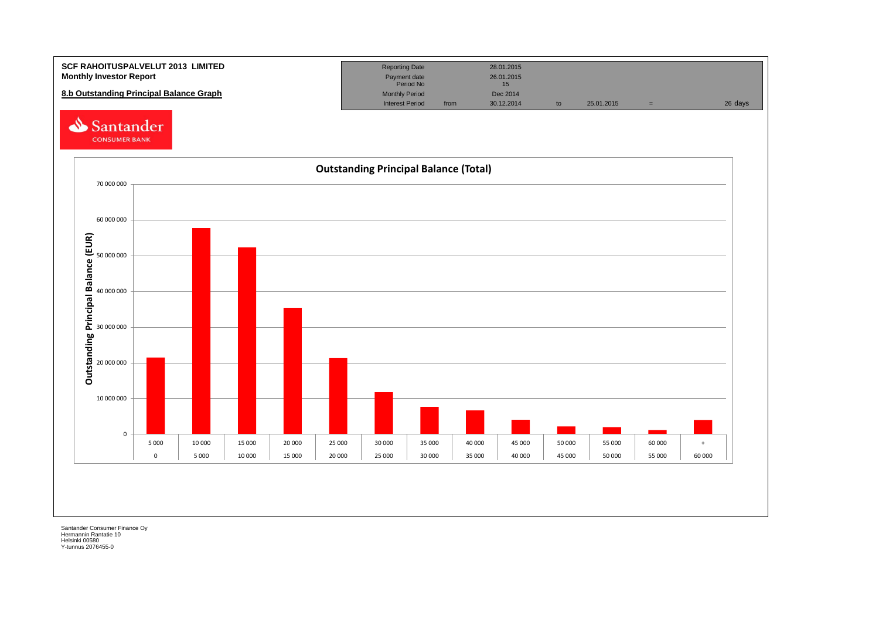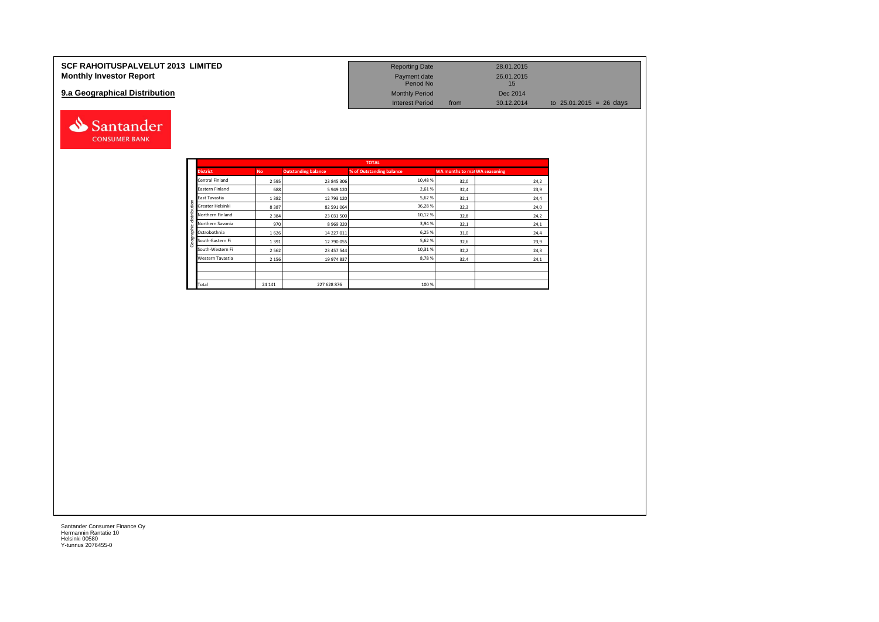| <b>SCF RAHOITUSPALVELUT 2013 LIMITED</b> | <b>Reporting Date</b>     | 28.01.2015         |                                   |
|------------------------------------------|---------------------------|--------------------|-----------------------------------|
| <b>Monthly Investor Report</b>           | Payment date<br>Period No | 26.01.2015         |                                   |
| 9.a Geographical Distribution            | <b>Monthly Period</b>     | Dec 2014           |                                   |
|                                          | <b>Interest Period</b>    | 30.12.2014<br>from | to $25.01.2015 = 26 \text{ days}$ |



Santander **CONSUMER BANK**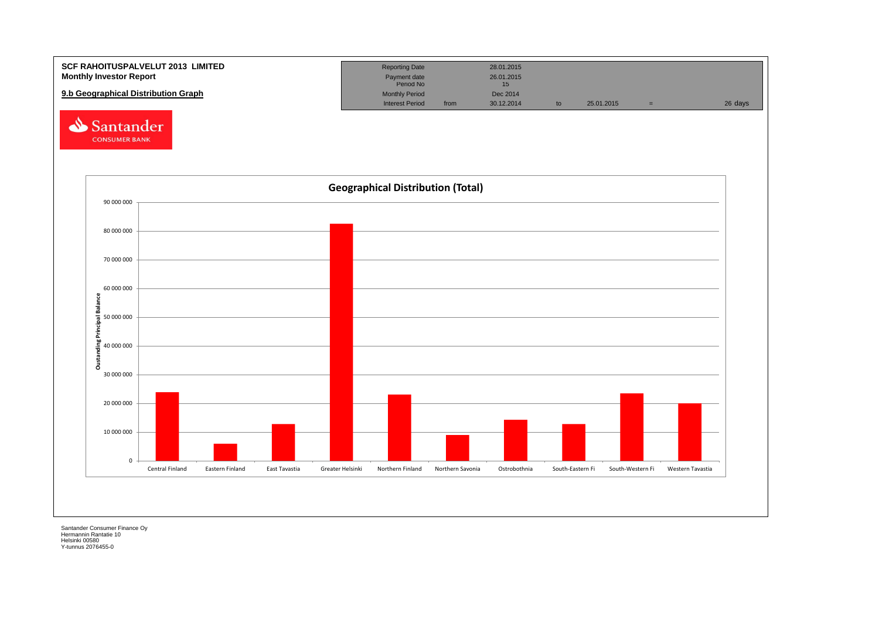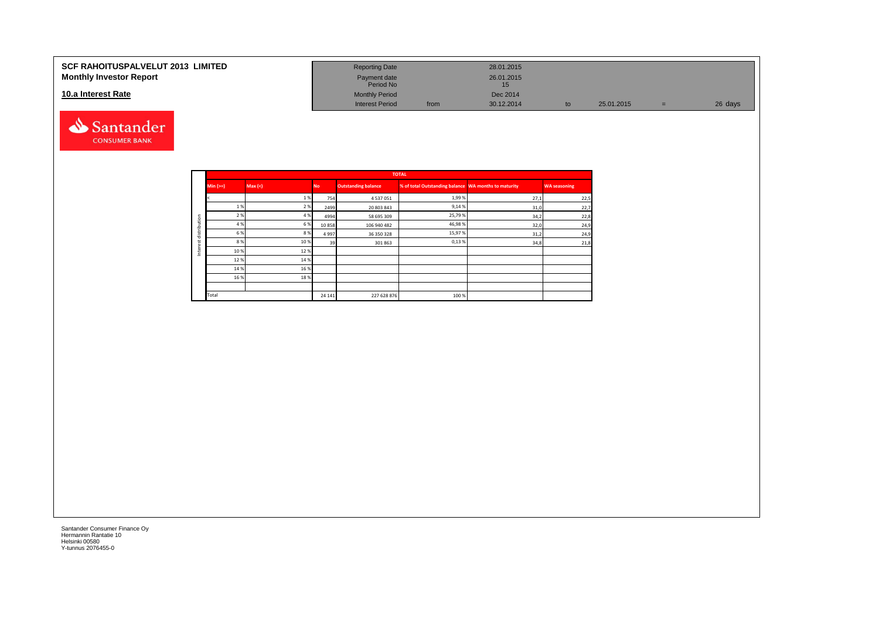#### **SCF RAHOITUSPALVELUT 2013 LIMITED Monthly Investor Report**

### **10.a Interest Rate**



| <b>Reporting Date</b>     |      | 28.01.2015       |    |            |     |         |
|---------------------------|------|------------------|----|------------|-----|---------|
| Payment date<br>Period No |      | 26.01.2015<br>15 |    |            |     |         |
| <b>Monthly Period</b>     |      | Dec 2014         |    |            |     |         |
| <b>Interest Period</b>    | from | 30.12.2014       | to | 25.01.2015 | $=$ | 26 days |

|         |            |        |           |                            | <b>TOTAL</b>                                         |      |                     |
|---------|------------|--------|-----------|----------------------------|------------------------------------------------------|------|---------------------|
|         | Min $(>=)$ | Max(<) | <b>No</b> | <b>Outstanding balance</b> | % of total Outstanding balance WA months to maturity |      | <b>WA seasoning</b> |
|         |            | 1%     | 754       | 4537051                    | 1,99%                                                | 27,1 | 22,5                |
|         | 1%         | 2 %    | 2499      | 20 803 843                 | 9,14 %                                               | 31,0 | 22,7                |
| tion    | 2 %        | 4 %    | 4994      | 58 695 309                 | 25,79%                                               | 34,2 | 22,8                |
| ∍       | 4 %        | 6 %    | 10858     | 106 940 482                | 46,98%                                               | 32,0 | 24,9                |
| distrib | 6 %        | 8%     | 4997      | 36 350 328                 | 15,97%                                               | 31,2 | 24,9                |
|         | 8%         | 10%    | 39        | 301 863                    | 0,13%                                                | 34,8 | 21,8                |
| 亘<br>Ξ  | 10%        | 12%    |           |                            |                                                      |      |                     |
|         | 12%        | 14 %   |           |                            |                                                      |      |                     |
|         | 14 %       | 16%    |           |                            |                                                      |      |                     |
|         | 16 %       | 18%    |           |                            |                                                      |      |                     |
|         |            |        |           |                            |                                                      |      |                     |
|         | Total      |        | 24 14 1   | 227 628 876                | 100 %                                                |      |                     |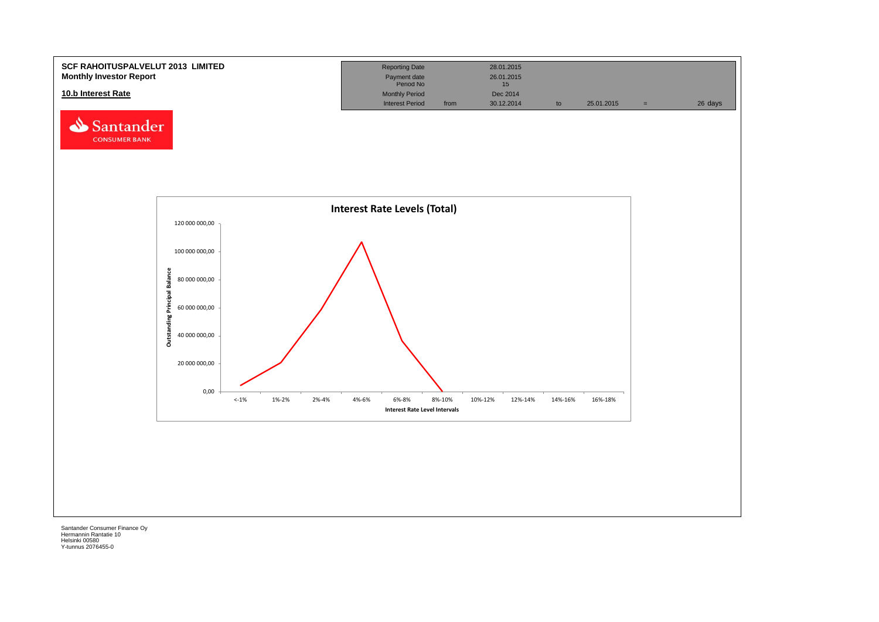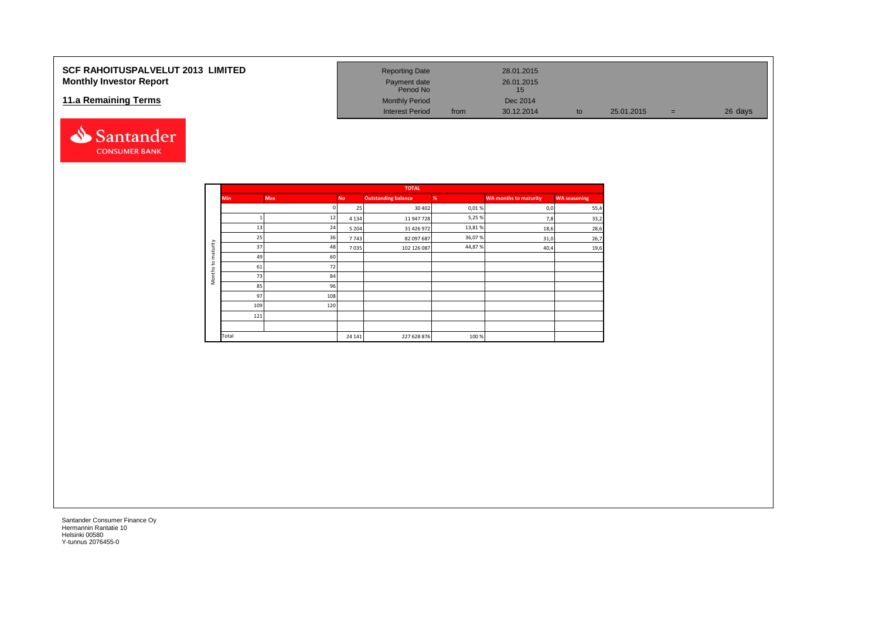### **SCF RAHOITUSPALVELUT 2013 LIMITED Monthly Investor Report**

### **11.a Remaining Terms**



| <b>Reporting Date</b>     |      | 28.01.2015       |    |            |     |         |
|---------------------------|------|------------------|----|------------|-----|---------|
| Payment date<br>Period No |      | 26.01.2015<br>15 |    |            |     |         |
| <b>Monthly Period</b>     |      | Dec 2014         |    |            |     |         |
| <b>Interest Period</b>    | from | 30.12.2014       | to | 25.01.2015 | $=$ | 26 days |

|                     |            |     |           | <b>TOTAL</b>               |        |                              |                     |
|---------------------|------------|-----|-----------|----------------------------|--------|------------------------------|---------------------|
|                     | <b>Min</b> | Max | <b>No</b> | <b>Outstanding balance</b> | %      | <b>WA months to maturity</b> | <b>WA seasoning</b> |
|                     |            |     | 25        | 30 40 2                    | 0,01%  | 0,0                          | 55,4                |
|                     |            | 12  | 4 1 3 4   | 11 947 728                 | 5,25%  | 7,8                          | 33,2                |
|                     | 13         | 24  | 5 2 0 4   | 31 426 972                 | 13,81% | 18,6                         | 28,6                |
|                     | 25         | 36  | 7743      | 82 097 687                 | 36,07% | 31,0                         | 26,7                |
| maturity            | 37         | 48  | 7035      | 102 126 087                | 44,87% | 40,4                         | 19,6                |
|                     | 49         | 60  |           |                            |        |                              |                     |
| $\mathtt{S}$        | 61         | 72  |           |                            |        |                              |                     |
| Months <sub>1</sub> | 73         | 84  |           |                            |        |                              |                     |
|                     | 85         | 96  |           |                            |        |                              |                     |
|                     | 97         | 108 |           |                            |        |                              |                     |
|                     | 109        | 120 |           |                            |        |                              |                     |
|                     | 121        |     |           |                            |        |                              |                     |
|                     |            |     |           |                            |        |                              |                     |
|                     | Total      |     | 24 14 1   | 227 628 876                | 100%   |                              |                     |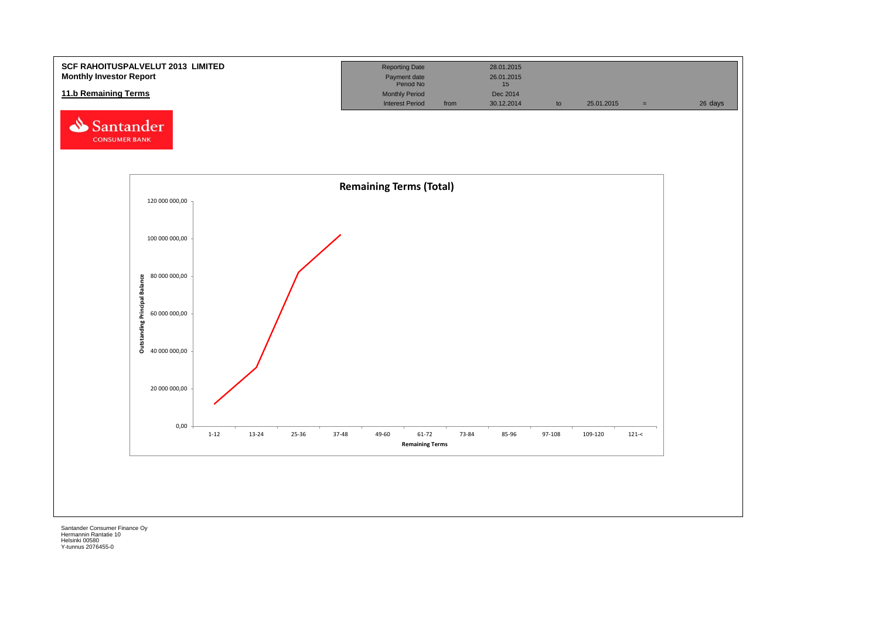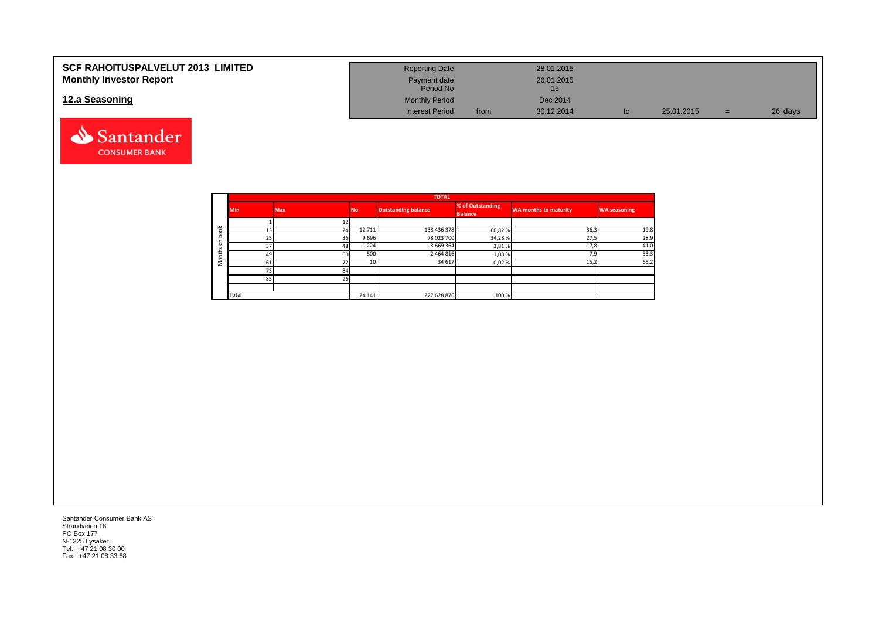| <b>SCF RAHOITUSPALVELUT 2013 LIMITED</b> | <b>Reporting Date</b>     |      | 28.01.2015 |            |     |         |
|------------------------------------------|---------------------------|------|------------|------------|-----|---------|
| <b>Monthly Investor Report</b>           | Payment date<br>Period No |      | 26.01.2015 |            |     |         |
| 12.a Seasoning                           | <b>Monthly Period</b>     |      | Dec 2014   |            |     |         |
|                                          | <b>Interest Period</b>    | from | 30.12.2014 | 25.01.2015 | u i | 26 days |



|            |            |            |                 | <b>TOTAL</b>        |                                    |                       |                     |
|------------|------------|------------|-----------------|---------------------|------------------------------------|-----------------------|---------------------|
|            | <b>Min</b> | <b>Max</b> | <b>No</b>       | Outstanding balance | % of Outstanding<br><b>Balance</b> | WA months to maturity | <b>WA seasoning</b> |
|            |            |            |                 |                     |                                    |                       |                     |
| $\breve{}$ | 13         | 24         | 12 711          | 138 436 378         | 60,82%                             | 36,3                  | 19,8                |
| $\circ$    | 25         | 36         | 9696            | 78 023 700          | 34,28%                             | 27,5                  | 28,9                |
| $\circ$    | 37         | 48         | 1 2 2 4         | 8 6 6 9 3 6 4       | 3,81%                              | 17,8                  | 41,0                |
| ±          | 49         | 60         | 500             | 2 4 6 4 8 1 6       | 1,08%                              | 7,9                   | 53,3                |
| c<br>∠     | 61         | 72         | 10 <sup>1</sup> | 34 617              | 0,02%                              | 15,2                  | 65,2                |
|            | 73         | 84         |                 |                     |                                    |                       |                     |
|            | 85         | 96         |                 |                     |                                    |                       |                     |
|            |            |            |                 |                     |                                    |                       |                     |
|            | Total      |            | 24 14 1         | 227 628 876         | 100 %                              |                       |                     |

Santander Consumer Bank AS Strandveien 18 PO Box 177 N-1325 Lysaker Tel.: +47 21 08 30 00 Fax.: +47 21 08 33 68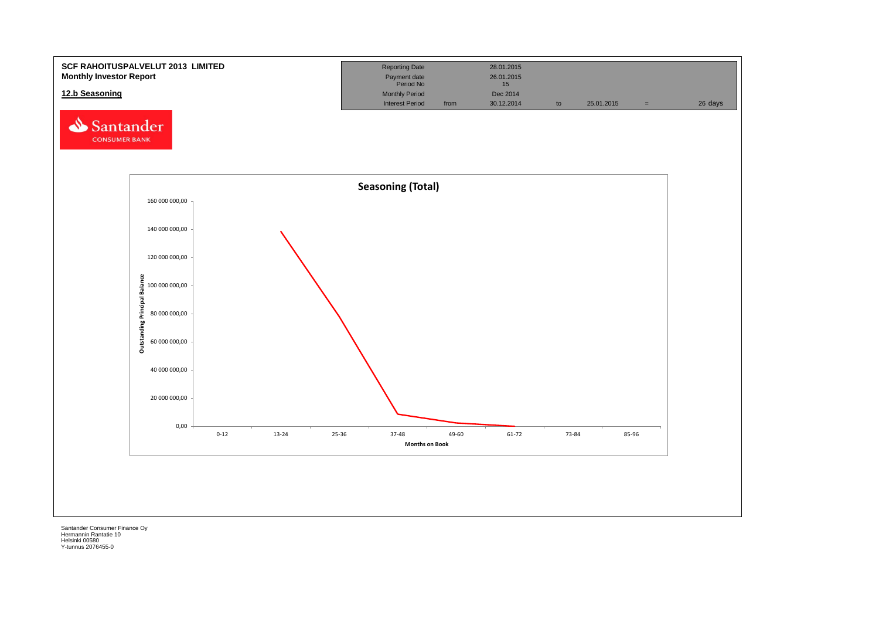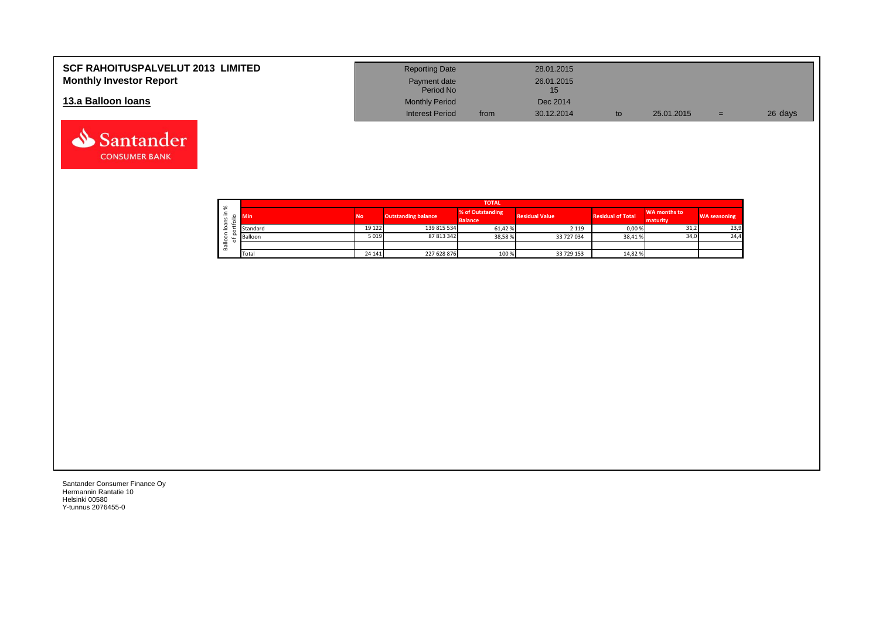| <b>SCF RAHOITUSPALVELUT 2013 LIMITED</b> | <b>Reporting Date</b>     |      | 28.01.2015 |            |     |         |
|------------------------------------------|---------------------------|------|------------|------------|-----|---------|
| <b>Monthly Investor Report</b>           | Payment date<br>Period No |      | 26.01.2015 |            |     |         |
| 13.a Balloon Ioans                       | <b>Monthly Period</b>     |      | Dec 2014   |            |     |         |
|                                          | <b>Interest Period</b>    | from | 30.12.2014 | 25.01.2015 | $=$ | 26 days |

|                  |                     | <b>TOTAL</b>     |         |                            |                                    |                       |                          |                          |                     |  |  |  |  |  |  |
|------------------|---------------------|------------------|---------|----------------------------|------------------------------------|-----------------------|--------------------------|--------------------------|---------------------|--|--|--|--|--|--|
| ∸<br>$\sim$<br>÷ | ৯                   | <b>No</b><br>Min |         | <b>Outstanding balance</b> | % of Outstanding<br><b>Balance</b> | <b>Residual Value</b> | <b>Residual of Total</b> | WA months to<br>maturity | <b>WA seasoning</b> |  |  |  |  |  |  |
|                  | $\sigma$<br>$\circ$ | Standard         | 19 122  | 139 815 534                | 61,42%                             | 2 1 1 9               | 0,00%                    | 31,2                     | 23,9                |  |  |  |  |  |  |
|                  | ≗                   | Balloon          | 5019    | 87 813 342                 | 38,58%                             | 33 727 034            | 38,41%                   | 34,0                     | 24,4                |  |  |  |  |  |  |
|                  | ത<br>őñ             |                  |         |                            |                                    |                       |                          |                          |                     |  |  |  |  |  |  |
|                  |                     | Total            | 24 14 1 | 227 628 876                | 100 %                              | 33 729 153            | 14,82%                   |                          |                     |  |  |  |  |  |  |

┑

Santander Consumer Finance Oy Hermannin Rantatie 10 Helsinki 00580 Y-tunnus 2076455-0

Santander **CONSUMER BANK**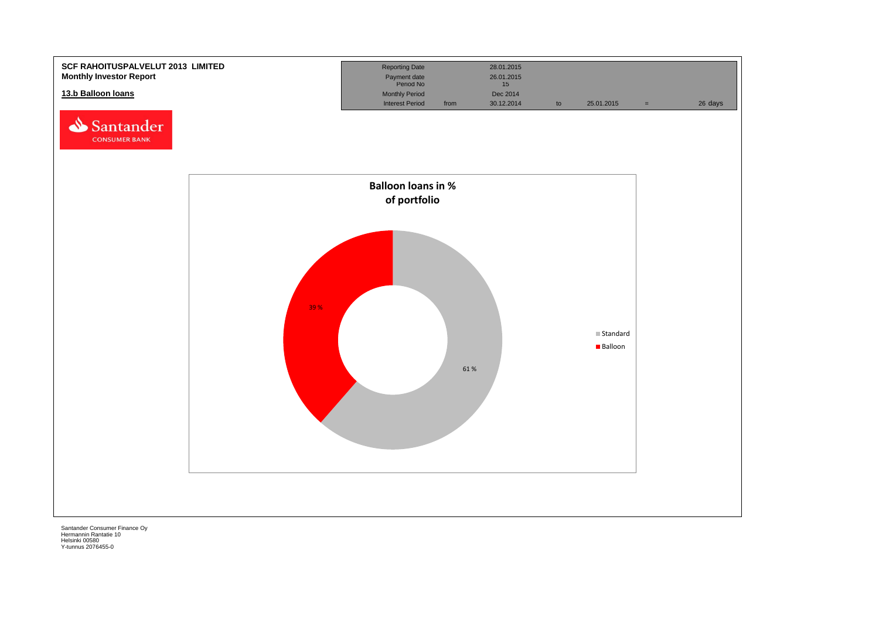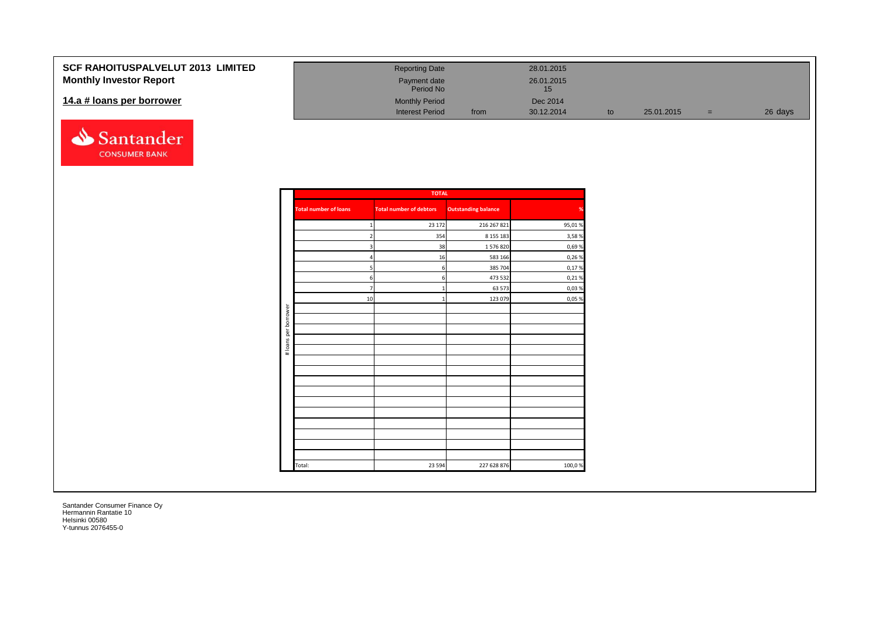| <b>SCF RAHOITUSPALVELUT 2013 LIMITED</b> | <b>Reporting Date</b>     |      | 28.01.2015       |            |     |         |
|------------------------------------------|---------------------------|------|------------------|------------|-----|---------|
| <b>Monthly Investor Report</b>           | Payment date<br>Period No |      | 26.01.2015<br>15 |            |     |         |
| 14.a # loans per borrower                | <b>Monthly Period</b>     |      | Dec 2014         |            |     |         |
|                                          | <b>Interest Period</b>    | from | 30.12.2014       | 25.01.2015 | $=$ | 26 days |



|                      |                              | <b>TOTAL</b>                   |                            |        |
|----------------------|------------------------------|--------------------------------|----------------------------|--------|
|                      | <b>Total number of loans</b> | <b>Total number of debtors</b> | <b>Outstanding balance</b> | %      |
|                      | 1                            | 23 172                         | 216 267 821                | 95,01% |
|                      | $\overline{2}$               | 354                            | 8 155 183                  | 3,58%  |
|                      | 3                            | 38                             | 1576820                    | 0,69%  |
|                      | $\overline{a}$               | 16                             | 583 166                    | 0,26 % |
|                      | 5                            | 6                              | 385 704                    | 0,17%  |
|                      | 6                            | 6                              | 473 532                    | 0,21%  |
|                      | $\overline{7}$               | $\mathbf{1}$                   | 63 573                     | 0,03%  |
|                      | 10                           | $\mathbf{1}$                   | 123 079                    | 0,05 % |
| # loans per borrower |                              |                                |                            |        |
|                      |                              |                                |                            |        |
|                      |                              |                                |                            |        |
|                      |                              |                                |                            |        |
|                      |                              |                                |                            |        |
|                      |                              |                                |                            |        |
|                      |                              |                                |                            |        |
|                      |                              |                                |                            |        |
|                      |                              |                                |                            |        |
|                      |                              |                                |                            |        |
|                      |                              |                                |                            |        |
|                      |                              |                                |                            |        |
|                      |                              |                                |                            |        |
|                      |                              |                                |                            |        |
|                      |                              |                                |                            |        |
|                      | Total:                       | 23 5 94                        | 227 628 876                | 100,0% |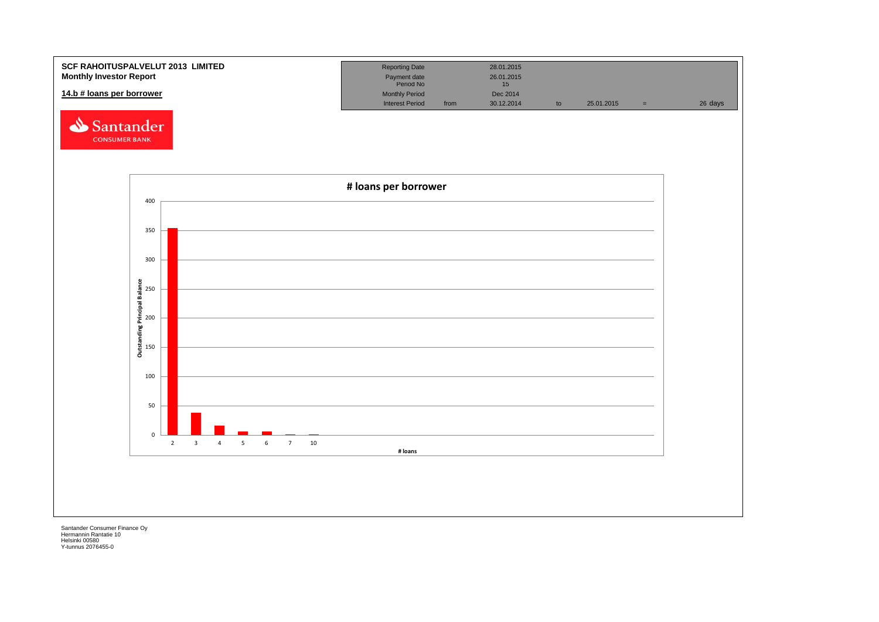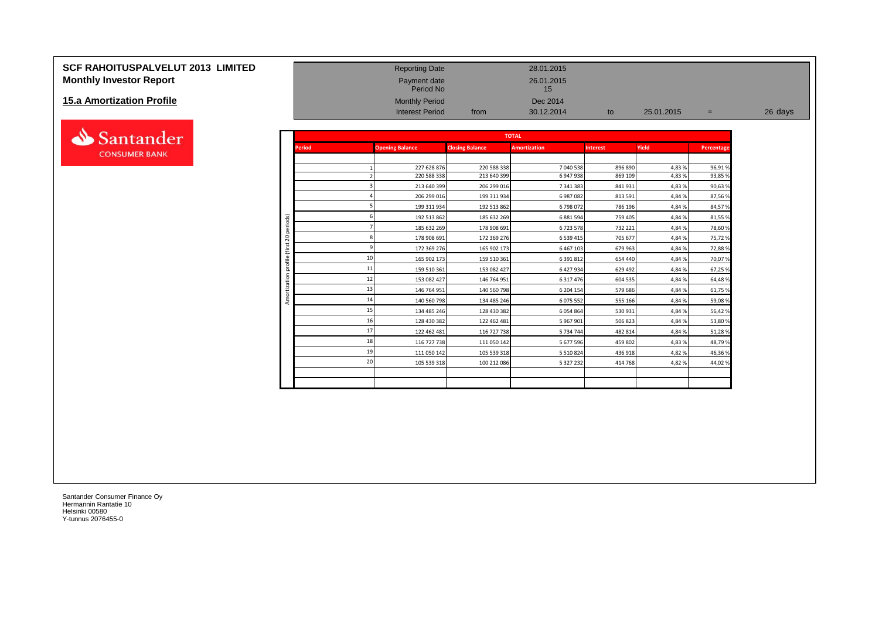# **SCF RAHOITUSPALVELUT 2013 LIMITED** Reporting Date 28.01.2015 **Monthly Investor Report Payment date** 26.01.2015

#### **15.a Amortization Profile**



| <b>Monthly Investor Report</b> |                |               | Payment date<br>Period No |                        | 26.01.2015<br>15    |                 |            |            |         |
|--------------------------------|----------------|---------------|---------------------------|------------------------|---------------------|-----------------|------------|------------|---------|
| 15.a Amortization Profile      |                |               | <b>Monthly Period</b>     |                        | Dec 2014            |                 |            |            |         |
|                                |                |               | <b>Interest Period</b>    | from                   | 30.12.2014          | to              | 25.01.2015 | $=$        | 26 days |
| Santander                      |                |               |                           |                        | <b>TOTAL</b>        |                 |            |            |         |
| <b>CONSUMER BANK</b>           |                | <b>Period</b> | <b>Opening Balance</b>    | <b>Closing Balance</b> | <b>Amortization</b> | <b>Interest</b> | Yield      | Percentage |         |
|                                |                |               | 227 628 876               | 220 588 338            | 7 040 538           | 896 890         | 4,83%      | 96,91%     |         |
|                                |                |               | 220 588 338               | 213 640 399            | 6 947 938           | 869 109         | 4,83%      | 93,85 %    |         |
|                                |                |               | 213 640 399               | 206 299 016            | 7 341 383           | 841931          | 4,83%      | 90,63%     |         |
|                                |                |               | 206 299 016               | 199 311 934            | 6 987 082           | 813 591         | 4,84%      | 87,56%     |         |
|                                |                |               | 199 311 934               | 192 513 862            | 6798072             | 786 196         | 4,84%      | 84,57%     |         |
|                                |                |               | 192 513 862               | 185 632 269            | 6 881 594           | 759 405         | 4,84%      | 81,55 %    |         |
|                                | periods)       |               | 185 632 269               | 178 908 691            | 6723578             | 732 221         | 4,84%      | 78,60 %    |         |
|                                | $\overline{c}$ |               | 178 908 691               | 172 369 276            | 6 539 415           | 705 677         | 4,84%      | 75,72%     |         |
|                                | $\overline{E}$ |               | 172 369 276               | 165 902 173            | 6 467 103           | 679 963         | 4,84%      | 72,88%     |         |
|                                | profile        | 10            | 165 902 173               | 159 510 361            | 6 391 812           | 654 440         | 4,84%      | 70,07%     |         |
|                                |                | 11            | 159 510 361               | 153 082 427            | 6 427 934           | 629 492         | 4,84%      | 67,25 %    |         |
|                                | ization        | 12            | 153 082 427               | 146 764 951            | 6 317 476           | 604 535         | 4,84%      | 64,48%     |         |
|                                |                | 13            | 146 764 951               | 140 560 798            | 6 204 154           | 579 686         | 4,84%      | 61,75 %    |         |
|                                |                | 14            | 140 560 798               | 134 485 246            | 6 075 552           | 555 166         | 4,84%      | 59,08%     |         |
|                                |                | 15            | 134 485 246               | 128 430 382            | 6 0 5 4 8 6 4       | 530 931         | 4,84%      | 56,42%     |         |
|                                |                | 16            | 128 430 382               | 122 462 481            | 5 967 901           | 506 823         | 4,84%      | 53,80%     |         |
|                                |                | 17            | 122 462 481               | 116 727 738            | 5 734 744           | 482 814         | 4,84%      | 51,28%     |         |
|                                |                | 18            | 116 727 738               | 111 050 142            | 5 677 596           | 459 802         | 4,83%      | 48,79%     |         |
|                                |                | 19            | 111 050 142               | 105 539 318            | 5 5 10 8 24         | 436 918         | 4,82%      | 46,36%     |         |
|                                |                | 20            | 105 539 318               | 100 212 086            | 5 327 232           | 414 768         | 4,82%      | 44,02%     |         |
|                                |                |               |                           |                        |                     |                 |            |            |         |
|                                |                |               |                           |                        |                     |                 |            |            |         |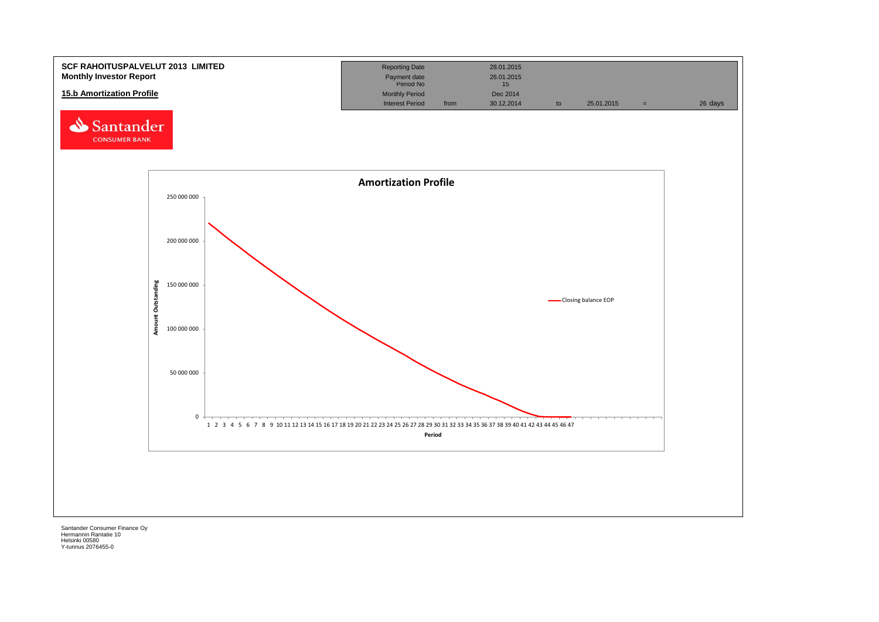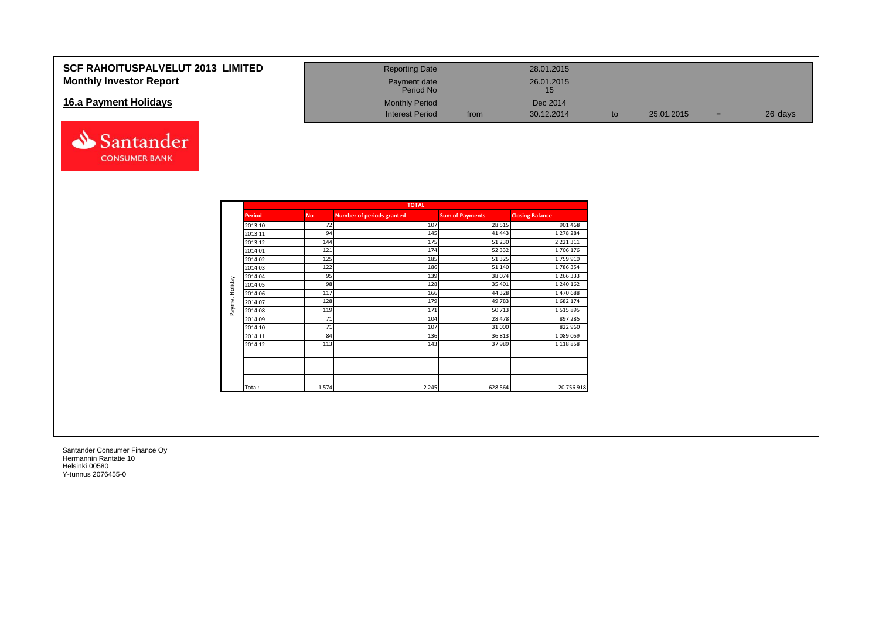### **SCF RAHOITUSPALVELUT 2013 LIMITED Monthly Investor Report**

### **16.a Payment Holidays**



| <b>Reporting Date</b>     |      | 28.01.2015       |    |            |     |         |
|---------------------------|------|------------------|----|------------|-----|---------|
| Payment date<br>Period No |      | 26.01.2015<br>15 |    |            |     |         |
| <b>Monthly Period</b>     |      | Dec 2014         |    |            |     |         |
| <b>Interest Period</b>    | from | 30.12.2014       | to | 25.01.2015 | $=$ | 26 days |

|                |               |           | <b>TOTAL</b>                     |                        |                        |
|----------------|---------------|-----------|----------------------------------|------------------------|------------------------|
|                | <b>Period</b> | <b>No</b> | <b>Number of periods granted</b> | <b>Sum of Payments</b> | <b>Closing Balance</b> |
|                | 2013 10       | 72        | 107                              | 28 5 15                | 901 468                |
|                | 2013 11       | 94        | 145                              | 41 443                 | 1 278 284              |
|                | 2013 12       | 144       | 175                              | 51 2 30                | 2 2 2 1 3 1 1          |
|                | 2014 01       | 121       | 174                              | 52 332                 | 1706 176               |
|                | 2014 02       | 125       | 185                              | 51325                  | 1759910                |
|                | 2014 03       | 122       | 186                              | 51 140                 | 1786354                |
|                | 2014 04       | 95        | 139                              | 38074                  | 1 266 333              |
| Paymet Holiday | 2014 05       | 98        | 128                              | 35 401                 | 1 240 162              |
|                | 2014 06       | 117       | 166                              | 44 3 28                | 1470688                |
|                | 2014 07       | 128       | 179                              | 49783                  | 1682174                |
|                | 2014 08       | 119       | 171                              | 50713                  | 1515895                |
|                | 2014 09       | 71        | 104                              | 28 4 78                | 897 285                |
|                | 2014 10       | 71        | 107                              | 31 000                 | 822 960                |
|                | 2014 11       | 84        | 136                              | 36813                  | 1089059                |
|                | 2014 12       | 113       | 143                              | 37989                  | 1 1 1 8 8 5 8          |
|                |               |           |                                  |                        |                        |
|                | Total:        | 1574      | 2 2 4 5                          | 628 564                | 20 756 918             |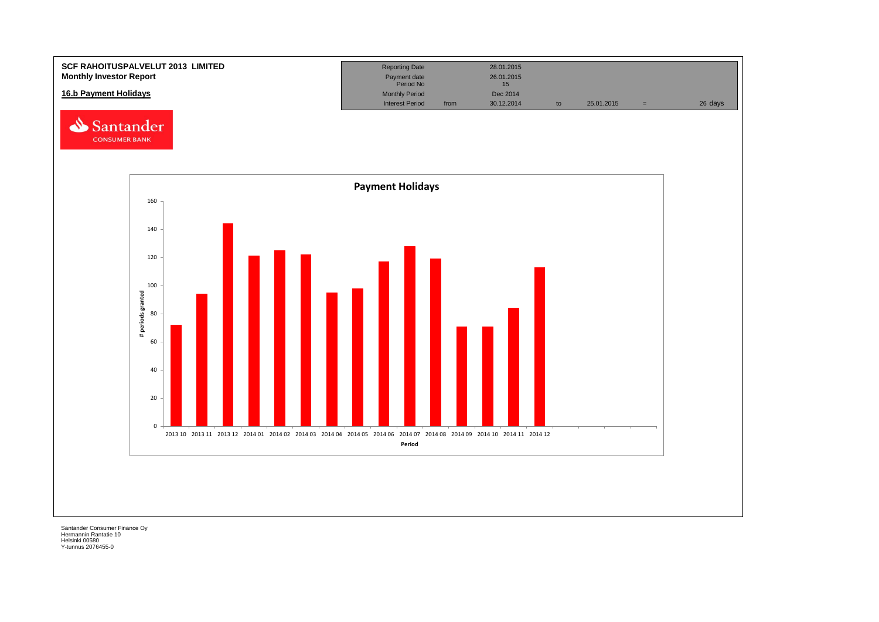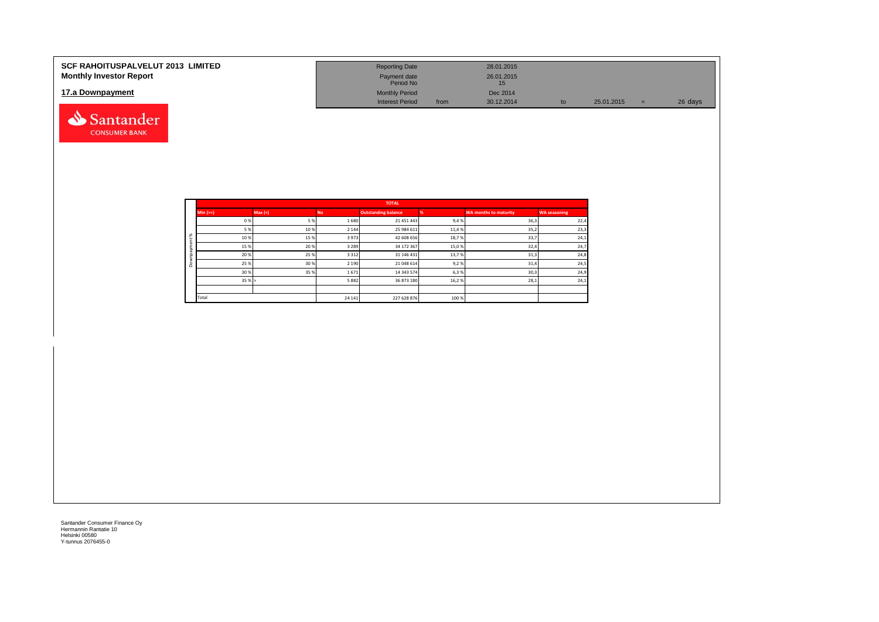| <b>SCF RAHOITUSPALVELUT 2013 LIMITED</b><br><b>Monthly Investor Report</b> | <b>Reporting Date</b><br>Payment date<br>Period No |      | 28.01.2015<br>26.01.2015<br>15 |    |            |     |         |
|----------------------------------------------------------------------------|----------------------------------------------------|------|--------------------------------|----|------------|-----|---------|
| 17.a Downpayment                                                           | <b>Monthly Period</b><br><b>Interest Period</b>    | from | Dec 2014<br>30.12.2014         | to | 25.01.2015 | $=$ | 26 days |
| Santander                                                                  |                                                    |      |                                |    |            |     |         |

|          |           |        |           | <b>TOTAL</b>               |       |                              |                     |
|----------|-----------|--------|-----------|----------------------------|-------|------------------------------|---------------------|
|          | $Min (=)$ | Max(<) | <b>No</b> | <b>Outstanding balance</b> |       | <b>WA months to maturity</b> | <b>WA seasoning</b> |
|          | 0%        | 5 %    | 1680      | 21 451 443                 | 9,4%  | 36,3                         | 22,4                |
|          | 5 %       | 10%    | 2 1 4 4   | 25 984 611                 | 11,4% | 35,2                         | 23,3                |
| $\aleph$ | 10%       | 15%    | 3973      | 42 608 656                 | 18,7% | 33,7                         | 24,1                |
| ಪ        | 15%       | 20%    | 3 2 8 9   | 34 172 367                 | 15,0% | 32,4                         | 24,7                |
|          | 20%       | 25%    | 3 3 1 2   | 31 146 431                 | 13,7% | 31,3                         | 24,8                |
| ۵        | 25 %      | 30%    | 2 1 9 0   | 21 048 614                 | 9,2%  | 31,4                         | 24,5                |
|          | 30%       | 35%    | 1671      | 14 343 574                 | 6,3%  | 30,3                         | 24,9                |
|          | 35%       |        | 5882      | 36 873 180                 | 16,2% | 28,1                         | 24,1                |
|          |           |        |           |                            |       |                              |                     |
|          | Total     |        | 24 14 1   | 227 628 876                | 100 % |                              |                     |

**CONSUMER BANK**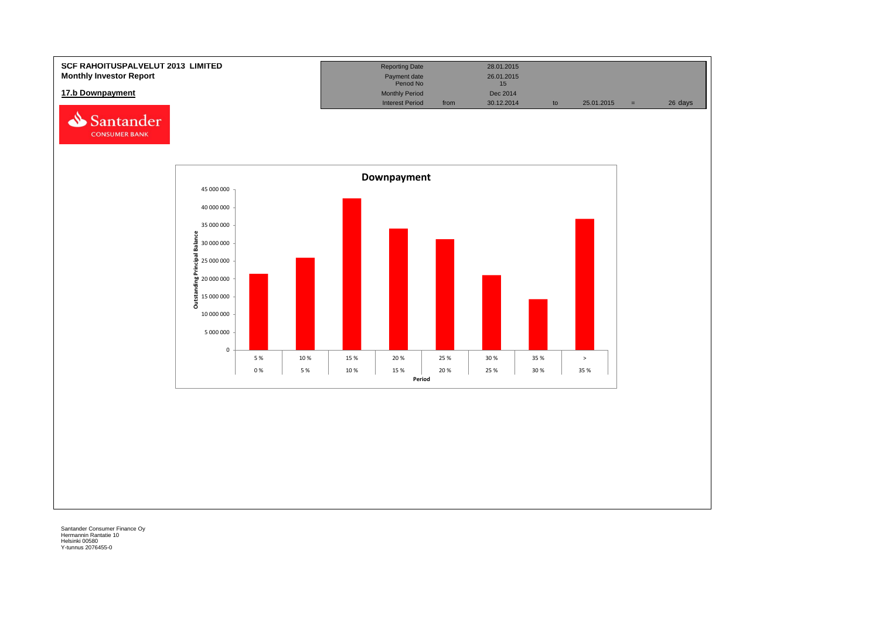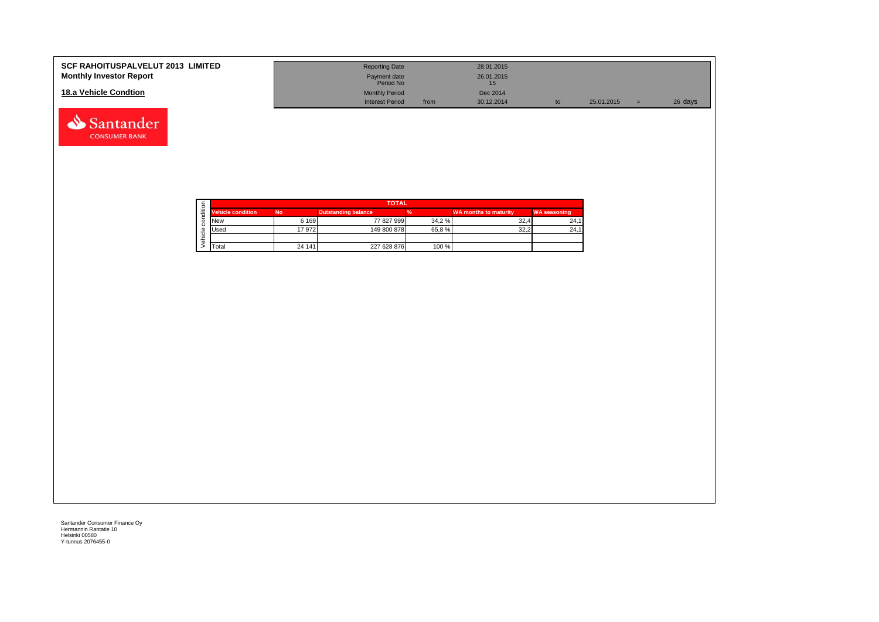| <b>SCF RAHOITUSPALVELUT 2013 LIMITED</b><br><b>Monthly Investor Report</b> | <b>Reporting Date</b><br>Payment date<br>Period No |      | 28.01.2015<br>26.01.2015 |    |            |     |         |
|----------------------------------------------------------------------------|----------------------------------------------------|------|--------------------------|----|------------|-----|---------|
| 18.a Vehicle Condtion                                                      | <b>Monthly Period</b>                              |      | Dec 2014                 |    |            |     |         |
|                                                                            | <b>Interest Period</b>                             | from | 30.12.2014               | to | 25.01.2015 | $=$ | 26 days |

|       |                          | <b>TOTAL</b> |                            |       |                              |                     |  |  |  |  |
|-------|--------------------------|--------------|----------------------------|-------|------------------------------|---------------------|--|--|--|--|
| $\pm$ | <b>Vehicle condition</b> | <b>No</b>    | <b>Outstanding balance</b> |       | <b>WA months to maturity</b> | <b>WA seasoning</b> |  |  |  |  |
|       | <b>New</b>               | 6 1 6 9      | 77 827 999                 | 34.2% | 32,4                         | 24.1                |  |  |  |  |
|       | <b>I</b> Used            | 17972        | 149 800 878                | 65.8% | 32,2                         | 24,1                |  |  |  |  |
|       |                          |              |                            |       |                              |                     |  |  |  |  |
|       | <b>T</b> otal            | 24 14 1      | 227 628 876                | 100 % |                              |                     |  |  |  |  |

Santander **CONSUMER BANK**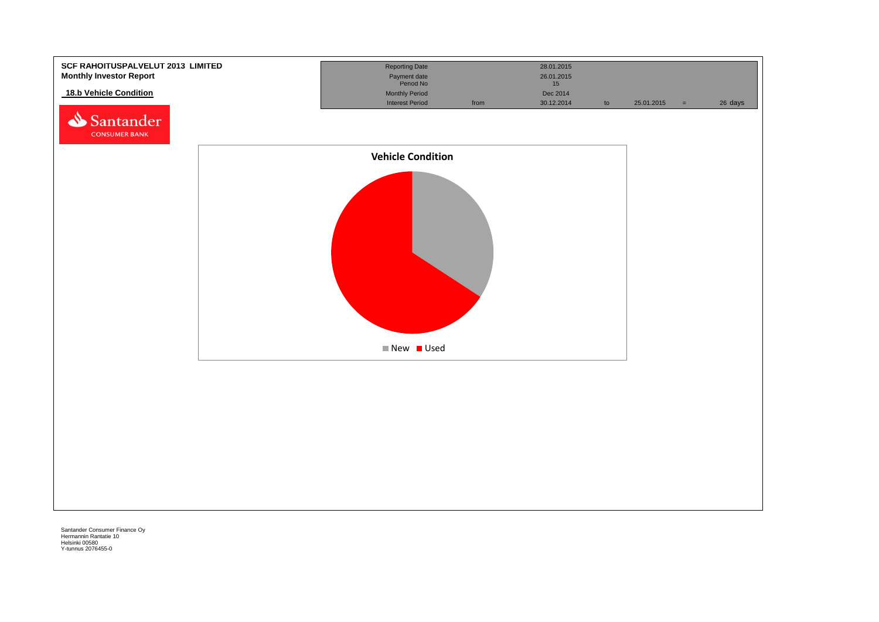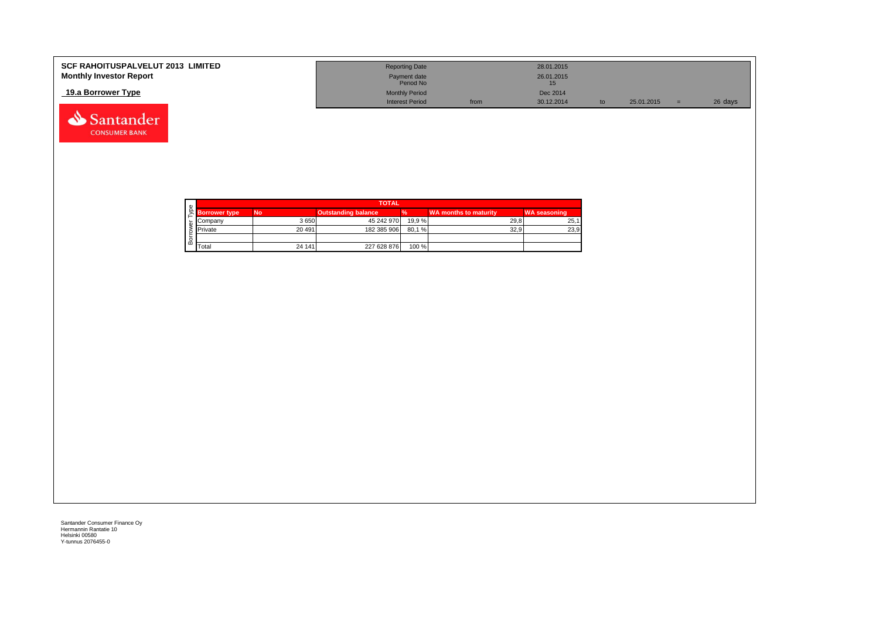| <b>SCF RAHOITUSPALVELUT 2013 LIMITED</b><br><b>Monthly Investor Report</b> | <b>Reporting Date</b><br>Payment date<br>Period No |      | 28.01.2015<br>26.01.2015 |            |         |
|----------------------------------------------------------------------------|----------------------------------------------------|------|--------------------------|------------|---------|
| 19.a Borrower Type                                                         | <b>Monthly Period</b>                              |      | Dec 2014                 |            |         |
|                                                                            | <b>Interest Period</b>                             | from | 30.12.2014               | 25.01.2015 | 26 days |

| w |                      | <b>TOTAL</b> |                            |        |                              |                     |  |  |  |  |
|---|----------------------|--------------|----------------------------|--------|------------------------------|---------------------|--|--|--|--|
|   | <b>Borrower type</b> | <b>No</b>    | <b>Outstanding balance</b> | %      | <b>WA months to maturity</b> | <b>WA seasoning</b> |  |  |  |  |
|   | Company              | 3 6 5 0      | 45 242 970                 | 19.9 % | 29.8                         | 25,1                |  |  |  |  |
|   | Private              | 20 491       | 182 385 906                | 80.1 % | 32.9                         | 23,9                |  |  |  |  |
|   |                      |              |                            |        |                              |                     |  |  |  |  |
| ≃ | Total                | 24 14 1      | 227 628 876                | 100 %  |                              |                     |  |  |  |  |

Santander **CONSUMER BANK**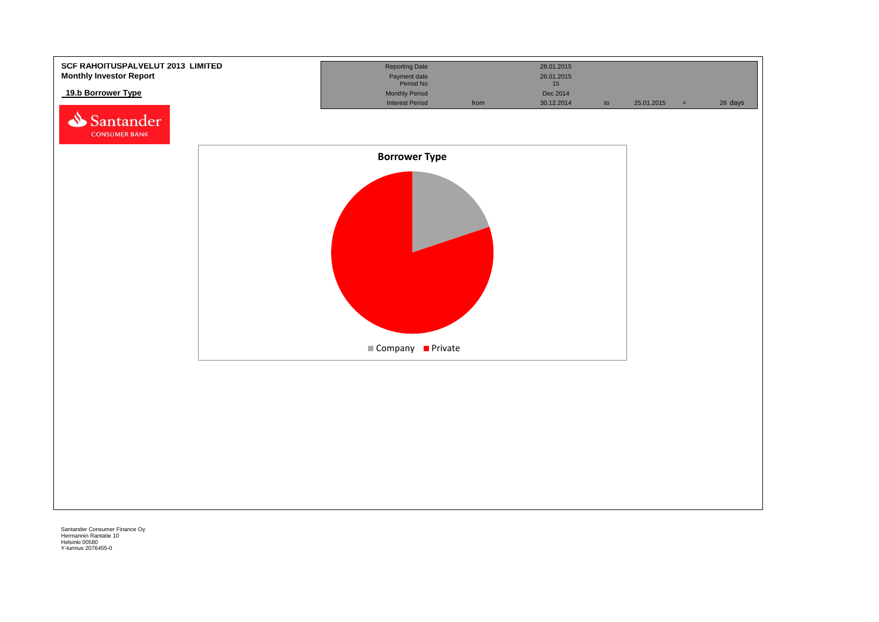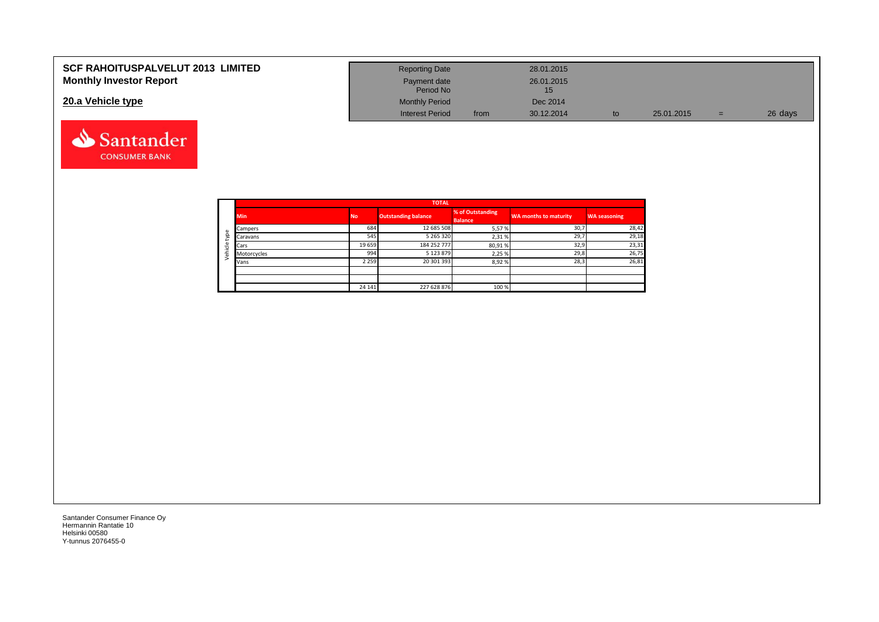| <b>SCF RAHOITUSPALVELUT 2013 LIMITED</b> | <b>Reporting Date</b>     |      | 28.01.2015 |    |            |     |         |
|------------------------------------------|---------------------------|------|------------|----|------------|-----|---------|
| <b>Monthly Investor Report</b>           | Payment date<br>Period No |      | 26.01.2015 |    |            |     |         |
| 20.a Vehicle type                        | <b>Monthly Period</b>     |      | Dec 2014   |    |            |     |         |
|                                          | <b>Interest Period</b>    | from | 30.12.2014 | to | 25.01.2015 | $=$ | 26 days |



Santander **CONSUMER BANK**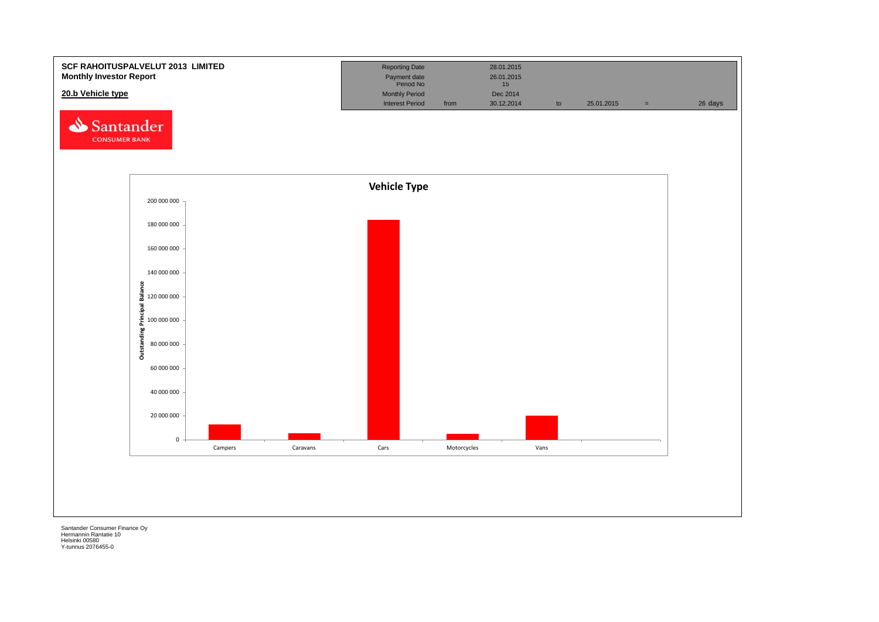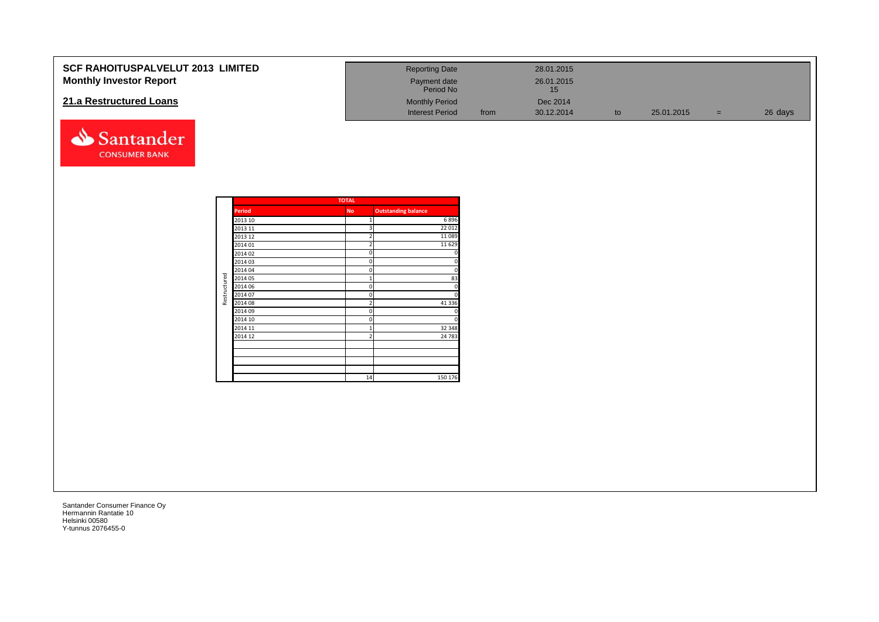| <b>SCF RAHOITUSPALVELUT 2013 LIMITED</b> | <b>Reporting Date</b>     |      | 28.01.2015       |            |     |         |
|------------------------------------------|---------------------------|------|------------------|------------|-----|---------|
| <b>Monthly Investor Report</b>           | Payment date<br>Period No |      | 26.01.2015<br>15 |            |     |         |
| 21.a Restructured Loans                  | <b>Monthly Period</b>     |      | Dec 2014         |            |     |         |
|                                          | <b>Interest Period</b>    | from | 30.12.2014       | 25.01.2015 | $=$ | 26 days |



Santander **CONSUMER BANK**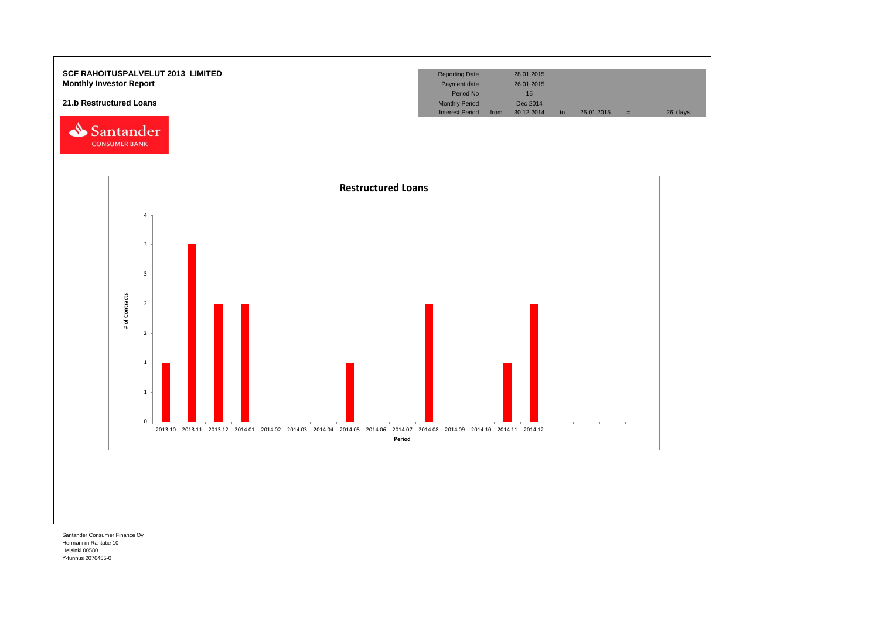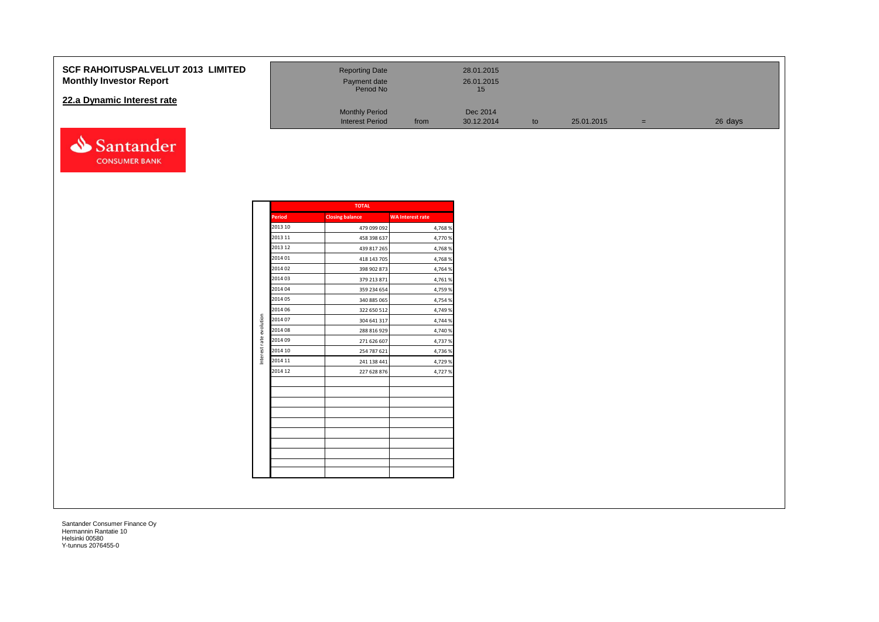### **SCF RAHOITUSPALVELUT 2013 Monthly Investor Report**

### **22.a Dynamic Interest rate**



| <b>LIMITED</b> | <b>Reporting Date</b><br>Payment date<br>Period No |      | 28.01.2015<br>26.01.2015<br>15 |    |            |     |         |
|----------------|----------------------------------------------------|------|--------------------------------|----|------------|-----|---------|
|                | <b>Monthly Period</b><br><b>Interest Period</b>    | from | Dec 2014<br>30.12.2014         | to | 25.01.2015 | $=$ | 26 days |

|                         |               | <b>TOTAL</b>           |                         |
|-------------------------|---------------|------------------------|-------------------------|
|                         | <b>Period</b> | <b>Closing balance</b> | <b>WA Interest rate</b> |
|                         | 2013 10       | 479 099 092            | 4,768 %                 |
|                         | 2013 11       | 458 398 637            | 4,770 %                 |
|                         | 2013 12       | 439 817 265            | 4,768%                  |
|                         | 2014 01       | 418 143 705            | 4,768%                  |
|                         | 2014 02       | 398 902 873            | 4,764 %                 |
|                         | 2014 03       | 379 213 871            | 4,761%                  |
|                         | 2014 04       | 359 234 654            | 4,759 %                 |
|                         | 2014 05       | 340 885 065            | 4,754 %                 |
|                         | 2014 06       | 322 650 512            | 4,749 %                 |
| Interest rate evolution | 2014 07       | 304 641 317            | 4,744 %                 |
|                         | 2014 08       | 288 816 929            | 4,740 %                 |
|                         | 2014 09       | 271 626 607            | 4,737 %                 |
|                         | 2014 10       | 254 787 621            | 4,736 %                 |
|                         | 2014 11       | 241 138 441            | 4,729 %                 |
|                         | 2014 12       | 227 628 876            | 4,727 %                 |
|                         |               |                        |                         |
|                         |               |                        |                         |
|                         |               |                        |                         |
|                         |               |                        |                         |
|                         |               |                        |                         |
|                         |               |                        |                         |
|                         |               |                        |                         |
|                         |               |                        |                         |
|                         |               |                        |                         |
|                         |               |                        |                         |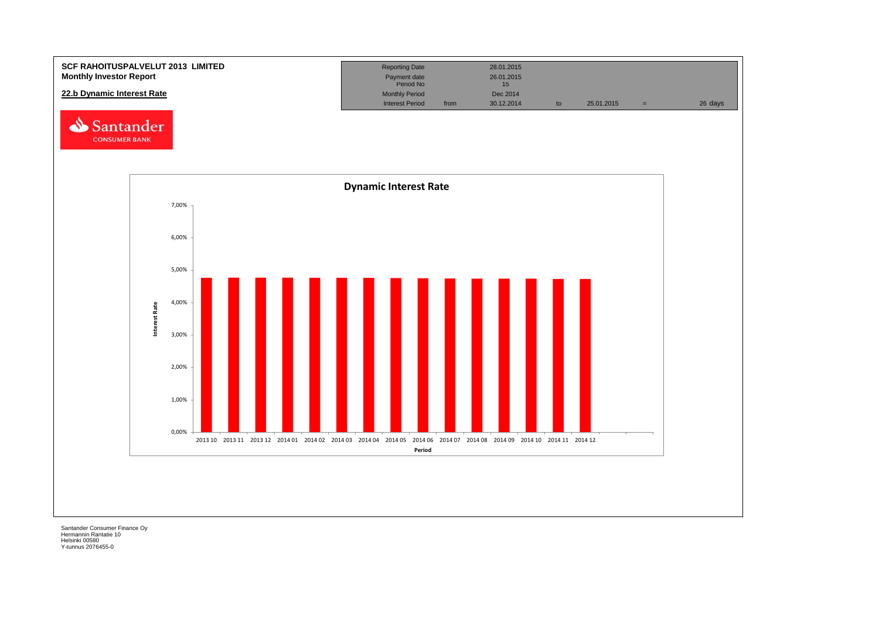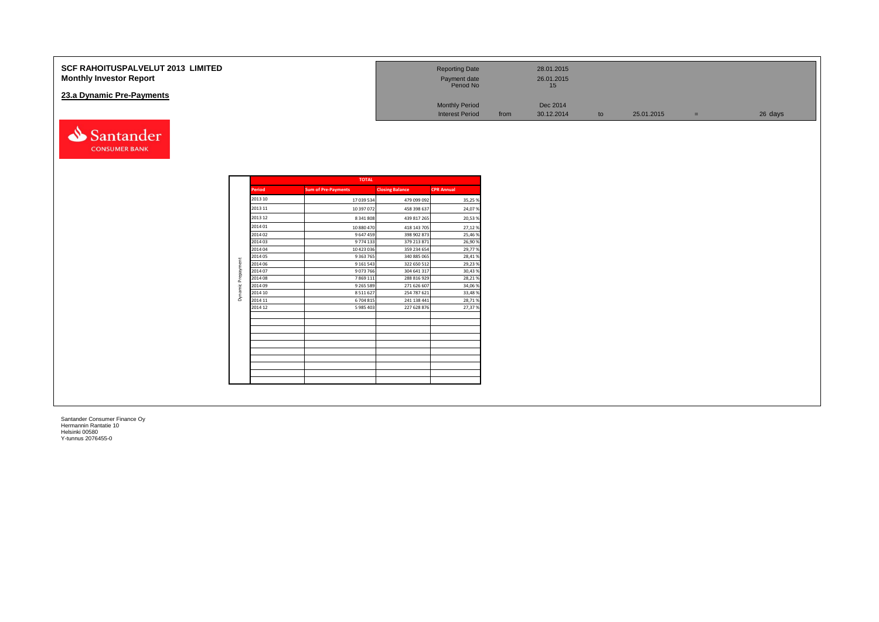| <b>SCF RAHOITUSPALVELUT 2013 LIMITED</b><br><b>Monthly Investor Report</b> | <b>Reporting Date</b><br>Payment date<br>Period No |      | 28.01.2015<br>26.01.2015<br>15 |    |            |     |         |
|----------------------------------------------------------------------------|----------------------------------------------------|------|--------------------------------|----|------------|-----|---------|
| 23.a Dynamic Pre-Payments                                                  | <b>Monthly Period</b><br><b>Interest Period</b>    | from | Dec 2014<br>30.12.2014         | to | 25.01.2015 | $=$ | 26 days |
| Santander                                                                  |                                                    |      |                                |    |            |     |         |

|         | <b>TOTAL</b>               |                        |                   |
|---------|----------------------------|------------------------|-------------------|
| Period  | <b>Sum of Pre-Payments</b> | <b>Closing Balance</b> | <b>CPR Annual</b> |
| 2013 10 | 17 039 534                 | 479 099 092            | 35,25%            |
| 2013 11 | 10 397 072                 | 458 398 637            | 24,07%            |
| 2013 12 | 8 341 808                  | 439 817 265            | 20,53%            |
| 2014 01 | 10 880 470                 | 418 143 705            | 27,12%            |
| 2014 02 | 9 647 459                  | 398 902 873            | 25,46%            |
| 2014 03 | 9 774 133                  | 379 213 871            | 26,90%            |
| 2014 04 | 10 423 036                 | 359 234 654            | 29,77%            |
| 2014 05 | 9 3 63 7 65                | 340 885 065            | 28,41%            |
| 2014 06 | 9 1 6 1 5 4 3              | 322 650 512            | 29,23%            |
| 2014 07 | 9073766                    | 304 641 317            | 30,43%            |
| 2014 08 | 7 8 6 9 1 1 1              | 288 816 929            | 28,21%            |
| 2014 09 | 9 2 6 5 5 8 9              | 271 626 607            | 34,06%            |
| 2014 10 | 8 5 1 1 6 2 7              | 254 787 621            | 33,48%            |
| 2014 11 | 6 704 815                  | 241 138 441            | 28,71%            |
| 2014 12 | 5 985 403                  | 227 628 876            | 27,37%            |
|         |                            |                        |                   |
|         |                            |                        |                   |
|         |                            |                        |                   |
|         |                            |                        |                   |
|         |                            |                        |                   |
|         |                            |                        |                   |

**CONSUMER BANK**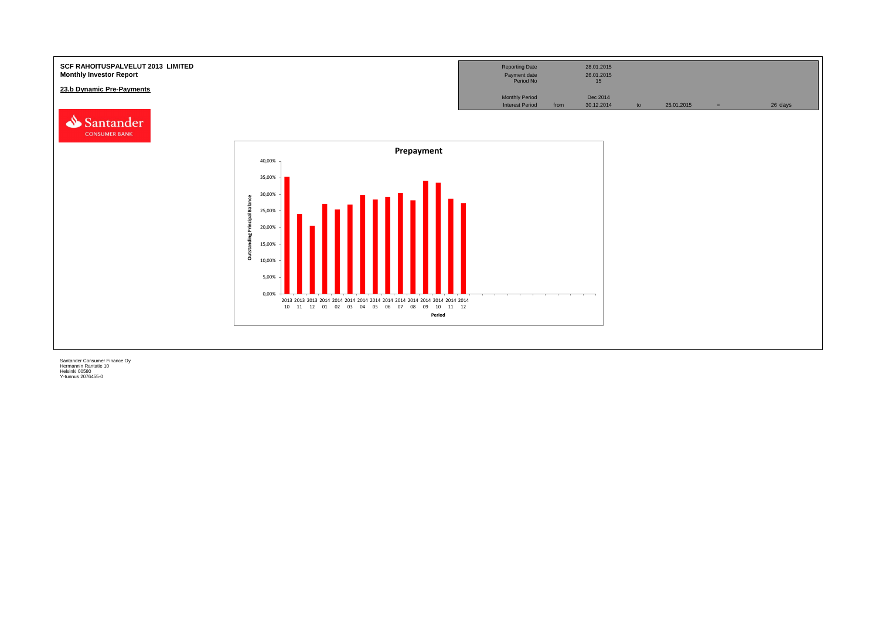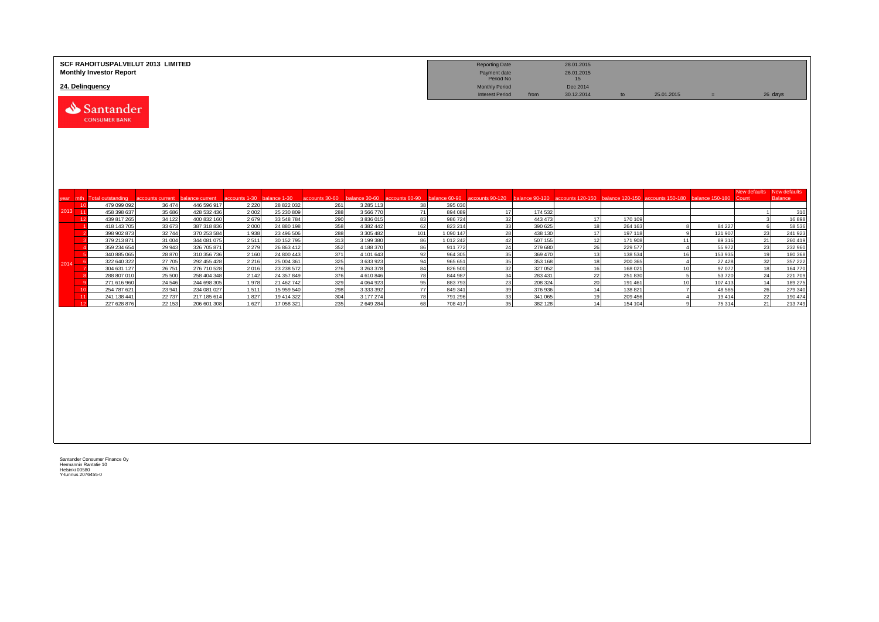|                   | SCF RAHOITUSPALVELUT 2013 LIMITED<br><b>Monthly Investor Report</b> |                                            |                            |                          |                            |                       |                                |                      |                          | <b>Reporting Date</b><br>Payment date<br>Period No |                    | 28.01.2015<br>26.01.2015<br>15                                                                   |                    |                      |                    |              |                    |
|-------------------|---------------------------------------------------------------------|--------------------------------------------|----------------------------|--------------------------|----------------------------|-----------------------|--------------------------------|----------------------|--------------------------|----------------------------------------------------|--------------------|--------------------------------------------------------------------------------------------------|--------------------|----------------------|--------------------|--------------|--------------------|
|                   | 24. Delinquency                                                     |                                            |                            |                          |                            |                       |                                |                      |                          | <b>Monthly Period</b>                              |                    | Dec 2014                                                                                         |                    |                      |                    |              |                    |
|                   | Santander<br><b>CONSUMER BANK</b>                                   |                                            |                            |                          |                            |                       |                                |                      |                          | <b>Interest Period</b>                             | from               | 30.12.2014                                                                                       | to                 | 25.01.2015           | $=$                |              | 26 days            |
|                   |                                                                     |                                            |                            |                          |                            |                       |                                |                      |                          |                                                    |                    |                                                                                                  |                    |                      |                    | New defaults | New defaults       |
| mth<br>year<br>10 | <b>Total outstanding</b><br>479 099 092                             | accounts current balance current<br>36 474 | 446 596 917                | accounts 1-30<br>2 2 2 0 | balance 1-30<br>28 822 032 | accounts 30-60<br>261 | balance 30-60<br>3 2 8 5 1 1 3 | accounts 60-90<br>38 | balance 60-90<br>395 030 |                                                    |                    | accounts 90-120 balance 90-120 accounts 120-150 balance 120-150 accounts 150-180 balance 150-180 |                    |                      |                    | Count        | <b>Balance</b>     |
| 2013 11           | 458 398 637                                                         | 35 686                                     | 428 532 436                | 2002                     | 25 230 809                 | 288                   | 3 566 770                      | 71                   | 894 089                  | 17                                                 | 174 532            |                                                                                                  |                    |                      |                    |              | 310                |
|                   | 12<br>439 817 265                                                   | 34 122                                     | 400 832 160                | 2679                     | 33 548 784                 | 290                   | 3 836 015                      | 83                   | 986 724                  | 32                                                 | 443 473            | 17                                                                                               | 170 109            |                      |                    |              | 16898              |
|                   | 418 143 705                                                         | 33 673                                     | 387 318 836                | 2 0 0 0                  | 24 880 198                 | 358                   | 4 382 442                      | 62                   | 823 214                  | 33                                                 | 390 625            | 18                                                                                               | 264 163            | $\mathbf{R}$         | 84 227             | 6            | 58 536             |
|                   | 398 902 873                                                         | 32744                                      | 370 253 584                | 1938                     | 23 496 506                 | 288                   | 3 305 482                      | 101                  | 1 090 147                | 28                                                 | 438 130            | 17                                                                                               | 197 118            | $\mathbf{Q}$         | 121 907            | 23           | 241 923            |
|                   | 379 213 871                                                         | 31 004                                     | 344 081 075                | 2511                     | 30 152 795                 | 313                   | 3 199 380                      | 86                   | 1 012 242                | 42                                                 | 507 155            | 12                                                                                               | 171 908            | 11                   | 89 316             | 21           | 260 419            |
|                   | 359 234 654                                                         | 29 943                                     | 326 705 871                | 2 2 7 9                  | 26 863 412                 | 352<br>371            | 4 188 370<br>4 101 643         | 86<br>92             | 911 772                  | 24<br>35                                           | 279 680            | 26<br>13                                                                                         | 229 577            | $\overline{4}$<br>16 | 55 972             | 23           | 232 960<br>180 368 |
|                   | 340 885 065<br>322 640 322<br>- 6                                   | 28 870<br>27 705                           | 310 356 736<br>292 455 428 | 2 1 6 0<br>2 2 1 6       | 24 800 443<br>25 004 361   | 325                   | 3 633 923                      | 94                   | 964 305<br>965 651       | 35                                                 | 369 470<br>353 168 | 18                                                                                               | 138 534<br>200 365 | $\overline{4}$       | 153 935<br>27 4 28 | 19<br>32     | 357 222            |
| 2014              | 304 631 127                                                         | 26 751                                     | 276 710 528                | 2016                     | 23 238 572                 | 276                   | 3 263 378                      | 84                   | 826 500                  | 32                                                 | 327 052            | 16                                                                                               | 168 021            | 10 <sup>1</sup>      | 97 077             | 18           | 164 770            |
|                   | 288 807 010                                                         | 25 500                                     | 258 404 348                | 2 1 4 2                  | 24 357 849                 | 376                   | 4 610 846                      | 78                   | 844 987                  | 34                                                 | 283 431            | 22                                                                                               | 251 830            | 5 <sup>1</sup>       | 53720              | 24           | 221 709            |
|                   | 271 616 960                                                         | 24 5 46                                    | 244 698 305                | 1978                     | 21 462 742                 | 329                   | 4 0 64 9 23                    | 95                   | 883793                   | 23                                                 | 208 324            | 20                                                                                               | 191 461            | 10 <sup>1</sup>      | 107 413            | 14           | 189 275            |
|                   | 254 787 621<br>10                                                   | 23 941                                     | 234 081 027                | 1511                     | 15 959 540                 | 298                   | 3 3 3 3 3 9 2                  | $\overline{77}$      | 849 341                  | 39                                                 | 376 936            | 14                                                                                               | 138 821            | $\overline{7}$       | 48 5 65            | 26           | 279 340            |
| 11                | 241 138 441                                                         | 22 737                                     | 217 185 614                | 1827                     | 19 414 322                 | 304                   | 3 177 274                      | 78                   | 791 296                  | 33                                                 | 341 065            | 19                                                                                               | 209 456            | $\overline{4}$       | 19414              | 22           | 190 474            |
|                   | 227 628 876<br>12                                                   | 22 153                                     | 206 601 308                | 1627                     | 17 058 321                 | 235                   | 2 649 284                      | 68                   | 708 417                  | 35                                                 | 382 128            | 14                                                                                               | 154 104            | q                    | 75 314             | 21           | 213749             |
|                   |                                                                     |                                            |                            |                          |                            |                       |                                |                      |                          |                                                    |                    |                                                                                                  |                    |                      |                    |              |                    |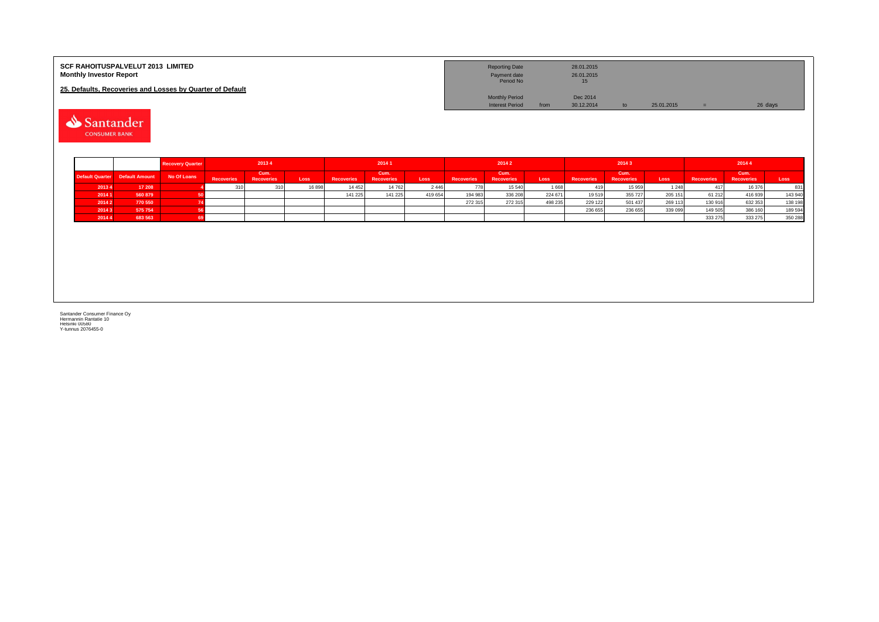| <b>SCF RAHOITUSPALVELUT 2013 LIMITED</b><br><b>Monthly Investor Report</b> | <b>Reporting Date</b><br>Payment date<br>Period No |      | 28.01.2015<br>26.01.2015<br>15 |    |            |         |
|----------------------------------------------------------------------------|----------------------------------------------------|------|--------------------------------|----|------------|---------|
| 25. Defaults. Recoveries and Losses by Quarter of Default                  |                                                    |      |                                |    |            |         |
|                                                                            | <b>Monthly Period</b>                              |      | Dec 2014                       |    |            |         |
|                                                                            | <b>Interest Period</b>                             | from | 30.12.2014                     | to | 25.01.2015 | 26 days |

Santander

|        |                                 | <b>Recovery Quarter</b> | 20134             |                           | 20141  |                   | 20142                     |         |                   |                           | 20143   |                   | 20144                     |         |                   |                           |         |
|--------|---------------------------------|-------------------------|-------------------|---------------------------|--------|-------------------|---------------------------|---------|-------------------|---------------------------|---------|-------------------|---------------------------|---------|-------------------|---------------------------|---------|
|        | Default Quarter  Default Amount | No Of Loans             | <b>Recoveries</b> | Cum.<br><b>Recoveries</b> | Loss   | <b>Recoveries</b> | Cum.<br><b>Recoveries</b> | Loss    | <b>Recoveries</b> | Cum.<br><b>Recoveries</b> | Loss    | <b>Recoveries</b> | Cum.<br><b>Recoveries</b> | Loss    | <b>Recoveries</b> | Cum.<br><b>Recoveries</b> | Loss    |
| 20134  | 17 208                          |                         |                   |                           | 16 898 | 14 45 2           | 14 762                    | 2446    |                   | 15 540                    | 1668    | 419               | 15 959                    | 124     | 417               | 16 376                    | 831     |
| 2014 1 | 560 879                         |                         |                   |                           |        | 141 225           | 141 225                   | 419 654 | 194 983           | 336 208                   | 224 671 | 19519             | 355 727                   | 205 151 | 61 21 2           | 416939                    | 143 940 |
| 2014 2 | 770 550                         |                         |                   |                           |        |                   |                           |         | 272 315           | 272 315                   | 498 235 | 229 122           | 501 437                   | 269 113 | 130 916           | 632 353                   | 138 198 |
| 20143  | 575 754                         |                         |                   |                           |        |                   |                           |         |                   |                           |         | 236 655           | 236 655                   | 339 095 | 149 505           | 386 160                   | 189 594 |
| 20144' | 683 563                         |                         |                   |                           |        |                   |                           |         |                   |                           |         |                   |                           |         | 333 275           | 333 275                   | 350 288 |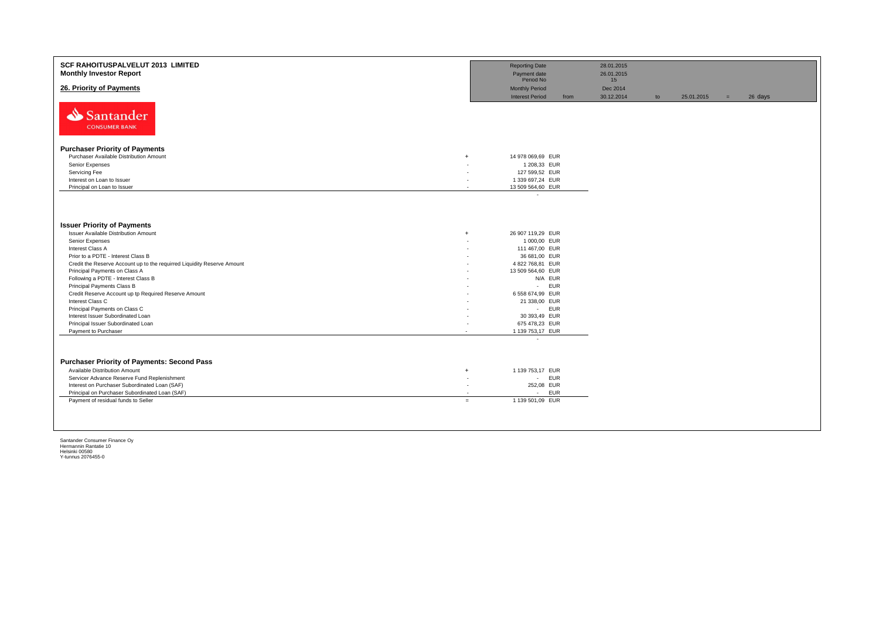| Period No<br>15<br>26. Priority of Payments<br><b>Monthly Period</b><br>Dec 2014<br><b>Interest Period</b><br>30.12.2014<br>25.01.2015<br>26 days<br>from<br>to<br>$=$<br>Santander<br><b>CONSUMER BANK</b> |  |
|-------------------------------------------------------------------------------------------------------------------------------------------------------------------------------------------------------------|--|
|                                                                                                                                                                                                             |  |
|                                                                                                                                                                                                             |  |
| <b>Purchaser Priority of Payments</b>                                                                                                                                                                       |  |
| Purchaser Available Distribution Amount                                                                                                                                                                     |  |
| 14 978 069,69 EUR<br>$\ddot{}$                                                                                                                                                                              |  |
| Senior Expenses<br>1 208,33 EUR<br>Servicing Fee                                                                                                                                                            |  |
| 127 599,52 EUR<br>Interest on Loan to Issuer<br>1 339 697,24 EUR                                                                                                                                            |  |
| Principal on Loan to Issuer<br>13 509 564,60 EUR                                                                                                                                                            |  |
| $\sim$                                                                                                                                                                                                      |  |
|                                                                                                                                                                                                             |  |
| <b>Issuer Priority of Payments</b>                                                                                                                                                                          |  |
| <b>Issuer Available Distribution Amount</b><br>26 907 119,29 EUR<br>$\ddot{+}$                                                                                                                              |  |
| Senior Expenses<br>1 000,00 EUR                                                                                                                                                                             |  |
| Interest Class A<br>111 467,00 EUR                                                                                                                                                                          |  |
| Prior to a PDTE - Interest Class B<br>36 681,00 EUR                                                                                                                                                         |  |
| Credit the Reserve Account up to the requirred Liquidity Reserve Amount<br>4 822 768,81 EUR                                                                                                                 |  |
| Principal Payments on Class A<br>13 509 564,60 EUR                                                                                                                                                          |  |
| Following a PDTE - Interest Class B<br>N/A EUR                                                                                                                                                              |  |
| <b>EUR</b><br>Principal Payments Class B<br>$\sim$                                                                                                                                                          |  |
| Credit Reserve Account up tp Required Reserve Amount<br>6 558 674,99 EUR                                                                                                                                    |  |
| Interest Class C<br>21 338,00 EUR                                                                                                                                                                           |  |
| Principal Payments on Class C<br><b>EUR</b><br>$\sim 100$                                                                                                                                                   |  |
| Interest Issuer Subordinated Loan<br>30 393,49 EUR                                                                                                                                                          |  |
| Principal Issuer Subordinated Loan<br>675 478,23 EUR                                                                                                                                                        |  |
| Payment to Purchaser<br>1 139 753,17 EUR<br>$\overline{\phantom{a}}$<br>$\overline{\phantom{a}}$                                                                                                            |  |
|                                                                                                                                                                                                             |  |
| <b>Purchaser Priority of Payments: Second Pass</b>                                                                                                                                                          |  |
| Available Distribution Amount<br>1 139 753,17 EUR<br>$+$                                                                                                                                                    |  |
| <b>EUR</b><br>Servicer Advance Reserve Fund Replenishment<br>$\sim$                                                                                                                                         |  |
| Interest on Purchaser Subordinated Loan (SAF)<br>252,08 EUR                                                                                                                                                 |  |
| Principal on Purchaser Subordinated Loan (SAF)<br><b>EUR</b><br>$\sim$                                                                                                                                      |  |
| Payment of residual funds to Seller<br>1 139 501,09 EUR<br>$=$                                                                                                                                              |  |
|                                                                                                                                                                                                             |  |
|                                                                                                                                                                                                             |  |
|                                                                                                                                                                                                             |  |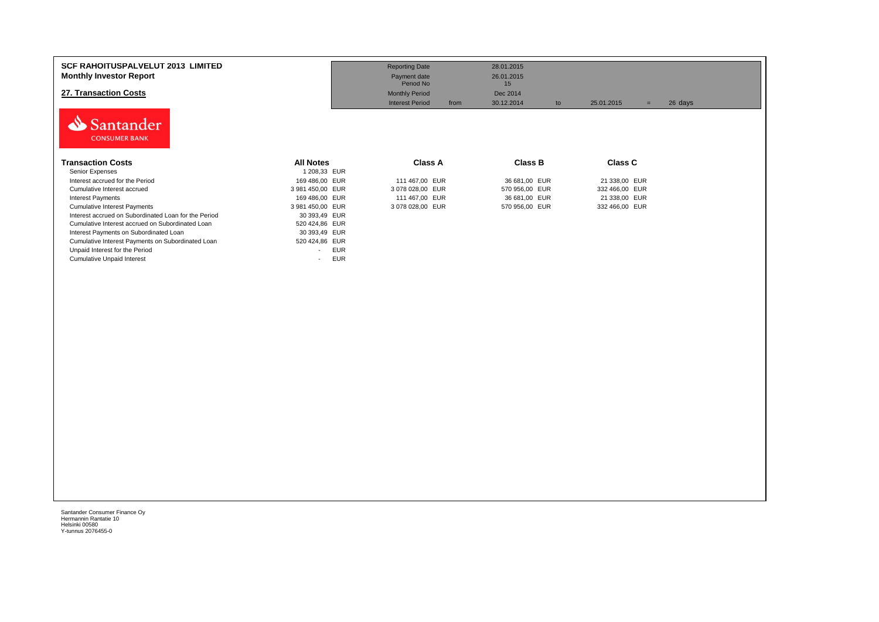| <b>SCF RAHOITUSPALVELUT 2013 LIMITED</b><br><b>Monthly Investor Report</b><br>27. Transaction Costs |                                        | <b>Reporting Date</b><br>Payment date<br>Period No<br><b>Monthly Period</b><br><b>Interest Period</b><br>from | 28.01.2015<br>26.01.2015<br>15<br>Dec 2014<br>30.12.2014<br>to | 25.01.2015<br>$=$ | 26 days |
|-----------------------------------------------------------------------------------------------------|----------------------------------------|---------------------------------------------------------------------------------------------------------------|----------------------------------------------------------------|-------------------|---------|
| Santander<br><b>CONSUMER BANK</b><br><b>Transaction Costs</b>                                       | <b>All Notes</b>                       | Class A                                                                                                       | <b>Class B</b>                                                 | <b>Class C</b>    |         |
| Senior Expenses                                                                                     | 1 208,33 EUR                           |                                                                                                               |                                                                |                   |         |
| Interest accrued for the Period                                                                     | 169 486,00 EUR                         | 111 467,00 EUR                                                                                                | 36 681,00 EUR                                                  | 21 338,00 EUR     |         |
| Cumulative Interest accrued                                                                         | 3 981 450,00 EUR                       | 3 078 028,00 EUR                                                                                              | 570 956,00 EUR                                                 | 332 466,00 EUR    |         |
| Interest Payments                                                                                   | 169 486,00 EUR                         | 111 467,00 EUR                                                                                                | 36 681,00 EUR                                                  | 21 338,00 EUR     |         |
| <b>Cumulative Interest Payments</b>                                                                 | 3 981 450,00 EUR                       | 3 078 028,00 EUR                                                                                              | 570 956,00 EUR                                                 | 332 466,00 EUR    |         |
| Interest accrued on Subordinated Loan for the Period                                                | 30 393,49 EUR                          |                                                                                                               |                                                                |                   |         |
| Cumulative Interest accrued on Subordinated Loan                                                    | 520 424,86 EUR                         |                                                                                                               |                                                                |                   |         |
| Interest Payments on Subordinated Loan                                                              | 30 393,49 EUR                          |                                                                                                               |                                                                |                   |         |
| Cumulative Interest Payments on Subordinated Loan                                                   | 520 424,86 EUR                         |                                                                                                               |                                                                |                   |         |
| Unpaid Interest for the Period                                                                      | <b>EUR</b><br>$\sim$                   |                                                                                                               |                                                                |                   |         |
| <b>Cumulative Unpaid Interest</b>                                                                   | <b>EUR</b><br>$\overline{\phantom{a}}$ |                                                                                                               |                                                                |                   |         |